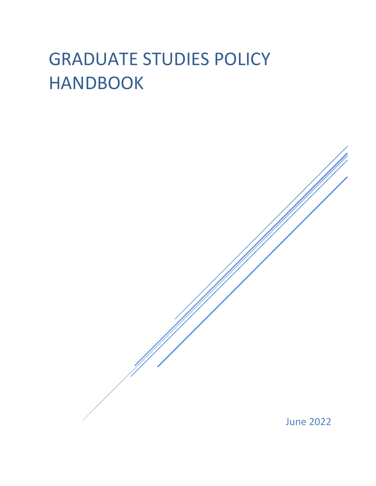# GRADUATE STUDIES POLICY HANDBOOK

June 2022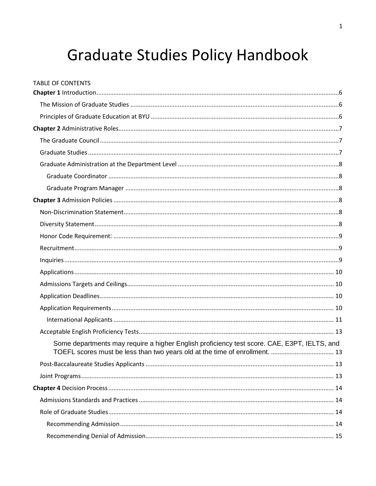# **Graduate Studies Policy Handbook**

**TABLE OF CONTENTS** 

| Some departments may require a higher English proficiency test score. CAE, E3PT, IELTS, and<br>TOEFL scores must be less than two years old at the time of enrollment.  13 |  |
|----------------------------------------------------------------------------------------------------------------------------------------------------------------------------|--|
|                                                                                                                                                                            |  |
|                                                                                                                                                                            |  |
|                                                                                                                                                                            |  |
|                                                                                                                                                                            |  |
|                                                                                                                                                                            |  |
|                                                                                                                                                                            |  |
|                                                                                                                                                                            |  |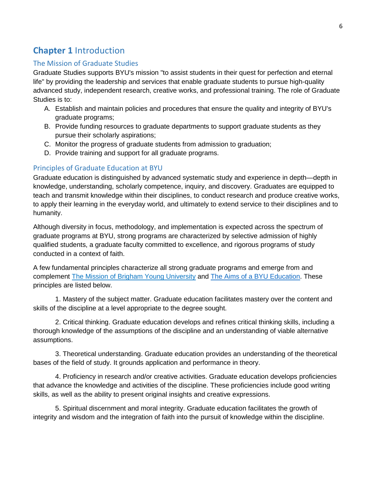# <span id="page-6-0"></span>**Chapter 1** Introduction

# <span id="page-6-1"></span>The Mission of Graduate Studies

Graduate Studies supports BYU's mission "to assist students in their quest for perfection and eternal life" by providing the leadership and services that enable graduate students to pursue high-quality advanced study, independent research, creative works, and professional training. The role of Graduate Studies is to:

- A. Establish and maintain policies and procedures that ensure the quality and integrity of BYU's graduate programs;
- B. Provide funding resources to graduate departments to support graduate students as they pursue their scholarly aspirations;
- C. Monitor the progress of graduate students from admission to graduation;
- D. Provide training and support for all graduate programs.

# <span id="page-6-2"></span>Principles of Graduate Education at BYU

Graduate education is distinguished by advanced systematic study and experience in depth—depth in knowledge, understanding, scholarly competence, inquiry, and discovery. Graduates are equipped to teach and transmit knowledge within their disciplines, to conduct research and produce creative works, to apply their learning in the everyday world, and ultimately to extend service to their disciplines and to humanity.

Although diversity in focus, methodology, and implementation is expected across the spectrum of graduate programs at BYU, strong programs are characterized by selective admission of highly qualified students, a graduate faculty committed to excellence, and rigorous programs of study conducted in a context of faith.

A few fundamental principles characterize all strong graduate programs and emerge from and complement [The Mission of Brigham Young University](https://aims.byu.edu/byu-mission-statement) and [The Aims of a BYU Education.](https://aims.byu.edu/aims-of-a-byu-education) These principles are listed below.

1. Mastery of the subject matter. Graduate education facilitates mastery over the content and skills of the discipline at a level appropriate to the degree sought.

2. Critical thinking. Graduate education develops and refines critical thinking skills, including a thorough knowledge of the assumptions of the discipline and an understanding of viable alternative assumptions.

3. Theoretical understanding. Graduate education provides an understanding of the theoretical bases of the field of study. It grounds application and performance in theory.

4. Proficiency in research and/or creative activities. Graduate education develops proficiencies that advance the knowledge and activities of the discipline. These proficiencies include good writing skills, as well as the ability to present original insights and creative expressions.

5. Spiritual discernment and moral integrity. Graduate education facilitates the growth of integrity and wisdom and the integration of faith into the pursuit of knowledge within the discipline.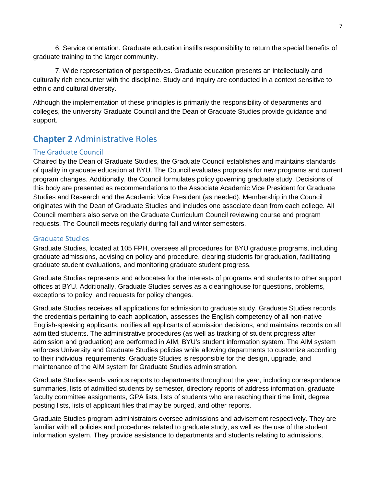6. Service orientation. Graduate education instills responsibility to return the special benefits of graduate training to the larger community.

7. Wide representation of perspectives. Graduate education presents an intellectually and culturally rich encounter with the discipline. Study and inquiry are conducted in a context sensitive to ethnic and cultural diversity.

Although the implementation of these principles is primarily the responsibility of departments and colleges, the university Graduate Council and the Dean of Graduate Studies provide guidance and support.

# <span id="page-7-0"></span>**Chapter 2** Administrative Roles

# <span id="page-7-1"></span>The Graduate Council

Chaired by the Dean of Graduate Studies, the Graduate Council establishes and maintains standards of quality in graduate education at BYU. The Council evaluates proposals for new programs and current program changes. Additionally, the Council formulates policy governing graduate study. Decisions of this body are presented as recommendations to the Associate Academic Vice President for Graduate Studies and Research and the Academic Vice President (as needed). Membership in the Council originates with the Dean of Graduate Studies and includes one associate dean from each college. All Council members also serve on the Graduate Curriculum Council reviewing course and program requests. The Council meets regularly during fall and winter semesters.

# <span id="page-7-2"></span>Graduate Studies

Graduate Studies, located at 105 FPH, oversees all procedures for BYU graduate programs, including graduate admissions, advising on policy and procedure, clearing students for graduation, facilitating graduate student evaluations, and monitoring graduate student progress.

Graduate Studies represents and advocates for the interests of programs and students to other support offices at BYU. Additionally, Graduate Studies serves as a clearinghouse for questions, problems, exceptions to policy, and requests for policy changes.

Graduate Studies receives all applications for admission to graduate study. Graduate Studies records the credentials pertaining to each application, assesses the English competency of all non-native English-speaking applicants, notifies all applicants of admission decisions, and maintains records on all admitted students. The administrative procedures (as well as tracking of student progress after admission and graduation) are performed in AIM, BYU's student information system. The AIM system enforces University and Graduate Studies policies while allowing departments to customize according to their individual requirements. Graduate Studies is responsible for the design, upgrade, and maintenance of the AIM system for Graduate Studies administration.

Graduate Studies sends various reports to departments throughout the year, including correspondence summaries, lists of admitted students by semester, directory reports of address information, graduate faculty committee assignments, GPA lists, lists of students who are reaching their time limit, degree posting lists, lists of applicant files that may be purged, and other reports.

Graduate Studies program administrators oversee admissions and advisement respectively. They are familiar with all policies and procedures related to graduate study, as well as the use of the student information system. They provide assistance to departments and students relating to admissions,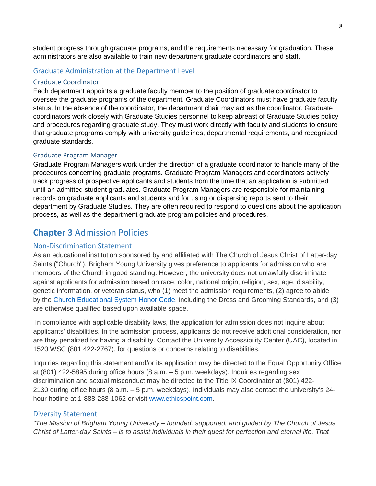student progress through graduate programs, and the requirements necessary for graduation. These administrators are also available to train new department graduate coordinators and staff.

#### <span id="page-8-0"></span>Graduate Administration at the Department Level

#### <span id="page-8-1"></span>Graduate Coordinator

Each department appoints a graduate faculty member to the position of graduate coordinator to oversee the graduate programs of the department. Graduate Coordinators must have graduate faculty status. In the absence of the coordinator, the department chair may act as the coordinator. Graduate coordinators work closely with Graduate Studies personnel to keep abreast of Graduate Studies policy and procedures regarding graduate study. They must work directly with faculty and students to ensure that graduate programs comply with university guidelines, departmental requirements, and recognized graduate standards.

#### <span id="page-8-2"></span>Graduate Program Manager

Graduate Program Managers work under the direction of a graduate coordinator to handle many of the procedures concerning graduate programs. Graduate Program Managers and coordinators actively track progress of prospective applicants and students from the time that an application is submitted until an admitted student graduates. Graduate Program Managers are responsible for maintaining records on graduate applicants and students and for using or dispersing reports sent to their department by Graduate Studies. They are often required to respond to questions about the application process, as well as the department graduate program policies and procedures.

# <span id="page-8-3"></span>**Chapter 3** Admission Policies

#### <span id="page-8-4"></span>Non-Discrimination Statement

As an educational institution sponsored by and affiliated with The Church of Jesus Christ of Latter-day Saints ("Church"), Brigham Young University gives preference to applicants for admission who are members of the Church in good standing. However, the university does not unlawfully discriminate against applicants for admission based on race, color, national origin, religion, sex, age, disability, genetic information, or veteran status, who (1) meet the admission requirements, (2) agree to abide by the [Church Educational System Honor Code,](https://policy.byu.edu/view/index.php?p=26) including the Dress and Grooming Standards, and (3) are otherwise qualified based upon available space.

In compliance with applicable disability laws, the application for admission does not inquire about applicants' disabilities. In the admission process, applicants do not receive additional consideration, nor are they penalized for having a disability. Contact the University Accessibility Center (UAC), located in 1520 WSC (801 422-2767), for questions or concerns relating to disabilities.

Inquiries regarding this statement and/or its application may be directed to the Equal Opportunity Office at (801) 422-5895 during office hours (8 a.m. – 5 p.m. weekdays). Inquiries regarding sex discrimination and sexual misconduct may be directed to the Title IX Coordinator at (801) 422- 2130 during office hours (8 a.m. – 5 p.m. weekdays). Individuals may also contact the university's 24 hour hotline at 1-888-238-1062 or visit [www.ethicspoint.com.](http://www.ethicspoint.com/)

#### <span id="page-8-5"></span>Diversity Statement

*"The Mission of Brigham Young University – founded, supported, and guided by The Church of Jesus Christ of Latter-day Saints – is to assist individuals in their quest for perfection and eternal life. That*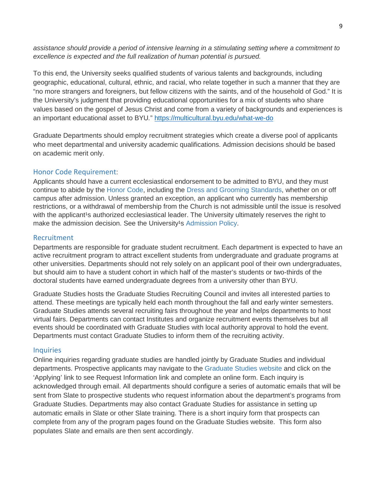*assistance should provide a period of intensive learning in a stimulating setting where a commitment to excellence is expected and the full realization of human potential is pursued.*

To this end, the University seeks qualified students of various talents and backgrounds, including geographic, educational, cultural, ethnic, and racial, who relate together in such a manner that they are "no more strangers and foreigners, but fellow citizens with the saints, and of the household of God." It is the University's judgment that providing educational opportunities for a mix of students who share values based on the gospel of Jesus Christ and come from a variety of backgrounds and experiences is an important educational asset to BYU*.*"<https://multicultural.byu.edu/what-we-do>

Graduate Departments should employ recruitment strategies which create a diverse pool of applicants who meet departmental and university academic qualifications. Admission decisions should be based on academic merit only.

#### <span id="page-9-0"></span>Honor Code Requirement:

Applicants should have a current ecclesiastical endorsement to be admitted to BYU, and they must continue to abide by the [Honor Code,](https://policy.byu.edu/view/index.php?p=26) including the [Dress and Grooming Standards,](https://policy.byu.edu/view/index.php?p=26&s1165) whether on or off campus after admission. Unless granted an exception, an applicant who currently has membership restrictions, or a withdrawal of membership from the Church is not admissible until the issue is resolved with the applicant<sup>1</sup>s authorized ecclesiastical leader. The University ultimately reserves the right to make the admission decision. See the University<sup>1</sup>s [Admission Policy.](https://policy.byu.edu/view/index.php?p=163)

# <span id="page-9-1"></span>Recruitment

Departments are responsible for graduate student recruitment. Each department is expected to have an active recruitment program to attract excellent students from undergraduate and graduate programs at other universities. Departments should not rely solely on an applicant pool of their own undergraduates, but should aim to have a student cohort in which half of the master's students or two-thirds of the doctoral students have earned undergraduate degrees from a university other than BYU.

Graduate Studies hosts the Graduate Studies Recruiting Council and invites all interested parties to attend. These meetings are typically held each month throughout the fall and early winter semesters. Graduate Studies attends several recruiting fairs throughout the year and helps departments to host virtual fairs. Departments can contact Institutes and organize recruitment events themselves but all events should be coordinated with Graduate Studies with local authority approval to hold the event. Departments must contact Graduate Studies to inform them of the recruiting activity.

#### <span id="page-9-2"></span>**Inquiries**

Online inquiries regarding graduate studies are handled jointly by Graduate Studies and individual departments. Prospective applicants may navigate to the [Graduate Studies website](http://gradstudies.byu.edu/) and click on the 'Applying' link to see Request Information link and complete an online form. Each inquiry is acknowledged through email. All departments should configure a series of automatic emails that will be sent from Slate to prospective students who request information about the department's programs from Graduate Studies. Departments may also contact Graduate Studies for assistance in setting up automatic emails in Slate or other Slate training. There is a short inquiry form that prospects can complete from any of the program pages found on the Graduate Studies website. This form also populates Slate and emails are then sent accordingly.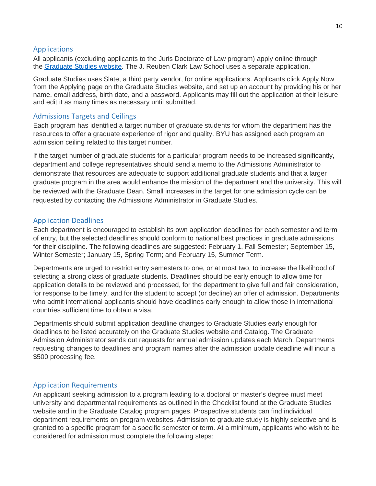#### <span id="page-10-0"></span>Applications

All applicants (excluding applicants to the Juris Doctorate of Law program) apply online through the [Graduate Studies website](http://gradstudies.byu.edu/)*.* The J. Reuben Clark Law School uses a separate application.

Graduate Studies uses Slate, a third party vendor, for online applications. Applicants click Apply Now from the Applying page on the Graduate Studies website, and set up an account by providing his or her name, email address, birth date, and a password. Applicants may fill out the application at their leisure and edit it as many times as necessary until submitted.

#### <span id="page-10-1"></span>Admissions Targets and Ceilings

Each program has identified a target number of graduate students for whom the department has the resources to offer a graduate experience of rigor and quality. BYU has assigned each program an admission ceiling related to this target number.

If the target number of graduate students for a particular program needs to be increased significantly, department and college representatives should send a memo to the Admissions Administrator to demonstrate that resources are adequate to support additional graduate students and that a larger graduate program in the area would enhance the mission of the department and the university. This will be reviewed with the Graduate Dean. Small increases in the target for one admission cycle can be requested by contacting the Admissions Administrator in Graduate Studies.

#### <span id="page-10-2"></span>Application Deadlines

Each department is encouraged to establish its own application deadlines for each semester and term of entry, but the selected deadlines should conform to national best practices in graduate admissions for their discipline. The following deadlines are suggested: February 1, Fall Semester; September 15, Winter Semester; January 15, Spring Term; and February 15, Summer Term.

Departments are urged to restrict entry semesters to one, or at most two, to increase the likelihood of selecting a strong class of graduate students. Deadlines should be early enough to allow time for application details to be reviewed and processed, for the department to give full and fair consideration, for response to be timely, and for the student to accept (or decline) an offer of admission. Departments who admit international applicants should have deadlines early enough to allow those in international countries sufficient time to obtain a visa.

Departments should submit application deadline changes to Graduate Studies early enough for deadlines to be listed accurately on the Graduate Studies website and Catalog. The Graduate Admission Administrator sends out requests for annual admission updates each March. Departments requesting changes to deadlines and program names after the admission update deadline will incur a \$500 processing fee.

#### <span id="page-10-3"></span>Application Requirements

An applicant seeking admission to a program leading to a doctoral or master's degree must meet university and departmental requirements as outlined in the Checklist found at the Graduate Studies website and in the Graduate Catalog program pages. Prospective students can find individual department requirements on program websites. Admission to graduate study is highly selective and is granted to a specific program for a specific semester or term. At a minimum, applicants who wish to be considered for admission must complete the following steps: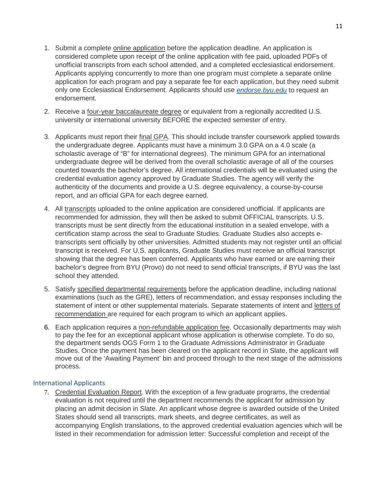- 1. Submit a complete online application before the application deadline. An application is considered complete upon receipt of the online application with fee paid, uploaded PDFs of unofficial transcripts from each school attended, and a completed ecclesiastical endorsement. Applicants applying concurrently to more than one program must complete a separate online application for each program and pay a separate fee for each application, but they need submit only one Ecclesiastical Endorsement. Applicants should use *[endorse.byu.edu](http://endorse.byu.edu/)* to request an endorsement.
- 2. Receive a four-year baccalaureate degree or equivalent from a regionally accredited U.S. university or international university BEFORE the expected semester of entry.
- 3. Applicants must report their final GPA. This should include transfer coursework applied towards the undergraduate degree. Applicants must have a minimum 3.0 GPA on a 4.0 scale (a scholastic average of "B" for international degrees). The minimum GPA for an international undergraduate degree will be derived from the overall scholastic average of all of the courses counted towards the bachelor's degree. All international credentials will be evaluated using the credential evaluation agency approved by Graduate Studies. The agency will verify the authenticity of the documents and provide a U.S. degree equivalency, a course-by-course report, and an official GPA for each degree earned.
- 4. All transcripts uploaded to the online application are considered unofficial. If applicants are recommended for admission, they will then be asked to submit OFFICIAL transcripts. U.S. transcripts must be sent directly from the educational institution in a sealed envelope, with a certification stamp across the seal to Graduate Studies. Graduate Studies also accepts etranscripts sent officially by other universities. Admitted students may not register until an official transcript is received. For U.S. applicants, Graduate Studies must receive an official transcript showing that the degree has been conferred. Applicants who have earned or are earning their bachelor's degree from BYU (Provo) do not need to send official transcripts, if BYU was the last school they attended.
- 5. Satisfy specified departmental requirements before the application deadline, including national examinations (such as the GRE), letters of recommendation, and essay responses including the statement of intent or other supplemental materials. Separate statements of intent and letters of recommendation are required for each program to which an applicant applies.
- 6. Each application requires a non-refundable application fee. Occasionally departments may wish to pay the fee for an exceptional applicant whose application is otherwise complete. To do so, the department sends OGS Form 1 to the Graduate Admissions Administrator in Graduate Studies. Once the payment has been cleared on the applicant record in Slate, the applicant will move out of the 'Awaiting Payment' bin and proceed through to the next stage of the admissions process.

#### <span id="page-11-0"></span>International Applicants

7. Credential Evaluation Report. With the exception of a few graduate programs, the credential evaluation is not required until the department recommends the applicant for admission by placing an admit decision in Slate. An applicant whose degree is awarded outside of the United States should send all transcripts, mark sheets, and degree certificates, as well as accompanying English translations, to the approved credential evaluation agencies which will be listed in their recommendation for admission letter: Successful completion and receipt of the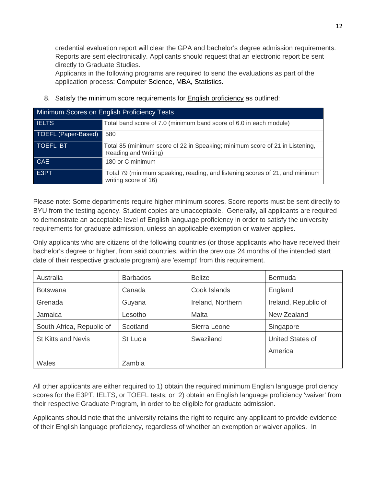credential evaluation report will clear the GPA and bachelor's degree admission requirements. Reports are sent electronically. Applicants should request that an electronic report be sent directly to Graduate Studies.

Applicants in the following programs are required to send the evaluations as part of the application process: Computer Science, MBA, Statistics.

8. Satisfy the minimum score requirements for **English proficiency as outlined:** 

| Minimum Scores on English Proficiency Tests |                                                                                                      |  |
|---------------------------------------------|------------------------------------------------------------------------------------------------------|--|
| <b>IELTS</b>                                | Total band score of 7.0 (minimum band score of 6.0 in each module)                                   |  |
| TOEFL (Paper-Based)                         | 580                                                                                                  |  |
| <b>TOEFL IBT</b>                            | Total 85 (minimum score of 22 in Speaking; minimum score of 21 in Listening,<br>Reading and Writing) |  |
| <b>CAE</b>                                  | 180 or C minimum                                                                                     |  |
| E3PT                                        | Total 79 (minimum speaking, reading, and listening scores of 21, and minimum<br>writing score of 16) |  |

Please note: Some departments require higher minimum scores. Score reports must be sent directly to BYU from the testing agency. Student copies are unacceptable. Generally, all applicants are required to demonstrate an acceptable level of English language proficiency in order to satisfy the university requirements for graduate admission, unless an applicable exemption or waiver applies.

Only applicants who are citizens of the following countries (or those applicants who have received their bachelor's degree or higher, from said countries, within the previous 24 months of the intended start date of their respective graduate program) are 'exempt' from this requirement.

| Australia                 | <b>Barbados</b> | <b>Belize</b>     | <b>Bermuda</b>          |
|---------------------------|-----------------|-------------------|-------------------------|
| <b>Botswana</b>           | Canada          | Cook Islands      | England                 |
| Grenada                   | Guyana          | Ireland, Northern | Ireland, Republic of    |
| Jamaica                   | Lesotho         | Malta             | New Zealand             |
| South Africa, Republic of | Scotland        | Sierra Leone      | Singapore               |
| <b>St Kitts and Nevis</b> | St Lucia        | Swaziland         | <b>United States of</b> |
|                           |                 |                   | America                 |
| Wales                     | Zambia          |                   |                         |

All other applicants are either required to 1) obtain the required minimum English language proficiency scores for the E3PT, IELTS, or TOEFL tests; or 2) obtain an English language proficiency 'waiver' from their respective Graduate Program, in order to be eligible for graduate admission.

Applicants should note that the university retains the right to require any applicant to provide evidence of their English language proficiency, regardless of whether an exemption or waiver applies. In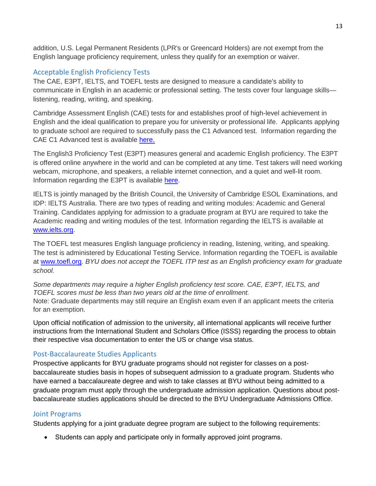addition, U.S. Legal Permanent Residents (LPR's or Greencard Holders) are not exempt from the English language proficiency requirement, unless they qualify for an exemption or waiver.

# <span id="page-13-0"></span>Acceptable English Proficiency Tests

The CAE, E3PT, IELTS, and TOEFL tests are designed to measure a candidate's ability to communicate in English in an academic or professional setting. The tests cover four language skills listening, reading, writing, and speaking.

Cambridge Assessment English (CAE) tests for and establishes proof of high-level achievement in English and the ideal qualification to prepare you for university or professional life. Applicants applying to graduate school are required to successfully pass the C1 Advanced test. Information regarding the CAE C1 Advanced test is available [here.](https://www.cambridgeenglish.org/exams-and-tests/advanced/)

The English3 Proficiency Test (E3PT) measures general and academic English proficiency. The E3PT is offered online anywhere in the world and can be completed at any time. Test takers will need working webcam, microphone, and speakers, a reliable internet connection, and a quiet and well-lit room. Information regarding the E3PT is available [here.](https://english3.com/english3-proficiency-test-taker.php)

IELTS is jointly managed by the British Council, the University of Cambridge ESOL Examinations, and IDP: IELTS Australia. There are two types of reading and writing modules: Academic and General Training. Candidates applying for admission to a graduate program at BYU are required to take the Academic reading and writing modules of the test. Information regarding the IELTS is available at [www.ielts.org.](http://www.ielts.org/)

The TOEFL test measures English language proficiency in reading, listening, writing, and speaking. The test is administered by Educational Testing Service. Information regarding the TOEFL is available at [www.toefl.org.](http://www.toefl.org/) *BYU does not accept the TOEFL ITP test as an English proficiency exam for graduate school.*

<span id="page-13-1"></span>*Some departments may require a higher English proficiency test score. CAE, E3PT, IELTS, and TOEFL scores must be less than two years old at the time of enrollment.* Note: Graduate departments may still require an English exam even if an applicant meets the criteria for an exemption.

Upon official notification of admission to the university, all international applicants will receive further instructions from the International Student and Scholars Office (ISSS) regarding the process to obtain their respective visa documentation to enter the US or change visa status.

# <span id="page-13-2"></span>Post-Baccalaureate Studies Applicants

Prospective applicants for BYU graduate programs should not register for classes on a postbaccalaureate studies basis in hopes of subsequent admission to a graduate program. Students who have earned a baccalaureate degree and wish to take classes at BYU without being admitted to a graduate program must apply through the undergraduate admission application. Questions about postbaccalaureate studies applications should be directed to the BYU Undergraduate Admissions Office.

# <span id="page-13-3"></span>Joint Programs

Students applying for a joint graduate degree program are subject to the following requirements:

• Students can apply and participate only in formally approved joint programs.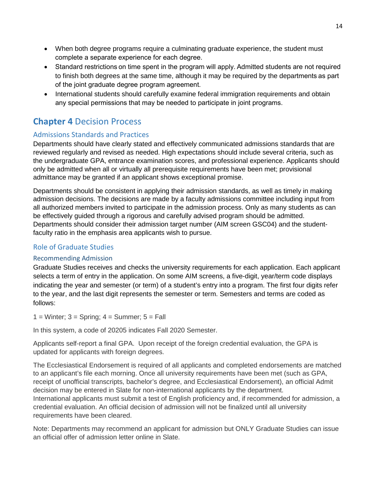- When both degree programs require a culminating graduate experience, the student must complete a separate experience for each degree.
- Standard restrictions on time spent in the program will apply. Admitted students are not required to finish both degrees at the same time, although it may be required by the departments as part of the joint graduate degree program agreement.
- International students should carefully examine federal immigration requirements and obtain any special permissions that may be needed to participate in joint programs.

# <span id="page-14-0"></span>**Chapter 4** Decision Process

# <span id="page-14-1"></span>Admissions Standards and Practices

Departments should have clearly stated and effectively communicated admissions standards that are reviewed regularly and revised as needed. High expectations should include several criteria, such as the undergraduate GPA, entrance examination scores, and professional experience. Applicants should only be admitted when all or virtually all prerequisite requirements have been met; provisional admittance may be granted if an applicant shows exceptional promise.

Departments should be consistent in applying their admission standards, as well as timely in making admission decisions. The decisions are made by a faculty admissions committee including input from all authorized members invited to participate in the admission process. Only as many students as can be effectively guided through a rigorous and carefully advised program should be admitted. Departments should consider their admission target number (AIM screen GSC04) and the studentfaculty ratio in the emphasis area applicants wish to pursue.

# <span id="page-14-2"></span>Role of Graduate Studies

# <span id="page-14-3"></span>Recommending Admission

Graduate Studies receives and checks the university requirements for each application. Each applicant selects a term of entry in the application. On some AIM screens, a five-digit, year/term code displays indicating the year and semester (or term) of a student's entry into a program. The first four digits refer to the year, and the last digit represents the semester or term. Semesters and terms are coded as follows:

 $1 =$  Winter;  $3 =$  Spring;  $4 =$  Summer;  $5 =$  Fall

In this system, a code of 20205 indicates Fall 2020 Semester.

Applicants self-report a final GPA. Upon receipt of the foreign credential evaluation, the GPA is updated for applicants with foreign degrees.

The Ecclesiastical Endorsement is required of all applicants and completed endorsements are matched to an applicant's file each morning. Once all university requirements have been met (such as GPA, receipt of unofficial transcripts, bachelor's degree, and Ecclesiastical Endorsement), an official Admit decision may be entered in Slate for non-international applicants by the department. International applicants must submit a test of English proficiency and, if recommended for admission, a credential evaluation. An official decision of admission will not be finalized until all university requirements have been cleared.

Note: Departments may recommend an applicant for admission but ONLY Graduate Studies can issue an official offer of admission letter online in Slate.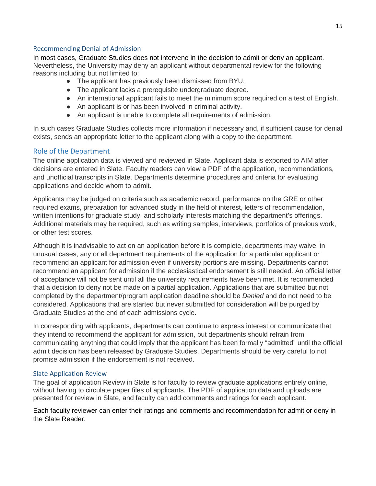#### <span id="page-15-0"></span>Recommending Denial of Admission

In most cases, Graduate Studies does not intervene in the decision to admit or deny an applicant. Nevertheless, the University may deny an applicant without departmental review for the following reasons including but not limited to:

- The applicant has previously been dismissed from BYU.
- The applicant lacks a prerequisite undergraduate degree.
- An international applicant fails to meet the minimum score required on a test of English.
- An applicant is or has been involved in criminal activity.
- An applicant is unable to complete all requirements of admission.

In such cases Graduate Studies collects more information if necessary and, if sufficient cause for denial exists, sends an appropriate letter to the applicant along with a copy to the department.

# <span id="page-15-1"></span>Role of the Department

The online application data is viewed and reviewed in Slate. Applicant data is exported to AIM after decisions are entered in Slate. Faculty readers can view a PDF of the application, recommendations, and unofficial transcripts in Slate. Departments determine procedures and criteria for evaluating applications and decide whom to admit.

Applicants may be judged on criteria such as academic record, performance on the GRE or other required exams, preparation for advanced study in the field of interest, letters of recommendation, written intentions for graduate study, and scholarly interests matching the department's offerings. Additional materials may be required, such as writing samples, interviews, portfolios of previous work, or other test scores.

Although it is inadvisable to act on an application before it is complete, departments may waive, in unusual cases, any or all department requirements of the application for a particular applicant or recommend an applicant for admission even if university portions are missing. Departments cannot recommend an applicant for admission if the ecclesiastical endorsement is still needed. An official letter of acceptance will not be sent until all the university requirements have been met. It is recommended that a decision to deny not be made on a partial application. Applications that are submitted but not completed by the department/program application deadline should be *Denied* and do not need to be considered. Applications that are started but never submitted for consideration will be purged by Graduate Studies at the end of each admissions cycle.

In corresponding with applicants, departments can continue to express interest or communicate that they intend to recommend the applicant for admission, but departments should refrain from communicating anything that could imply that the applicant has been formally "admitted" until the official admit decision has been released by Graduate Studies. Departments should be very careful to not promise admission if the endorsement is not received.

#### <span id="page-15-2"></span>Slate Application Review

The goal of application Review in Slate is for faculty to review graduate applications entirely online, without having to circulate paper files of applicants. The PDF of application data and uploads are presented for review in Slate, and faculty can add comments and ratings for each applicant.

Each faculty reviewer can enter their ratings and comments and recommendation for admit or deny in the Slate Reader.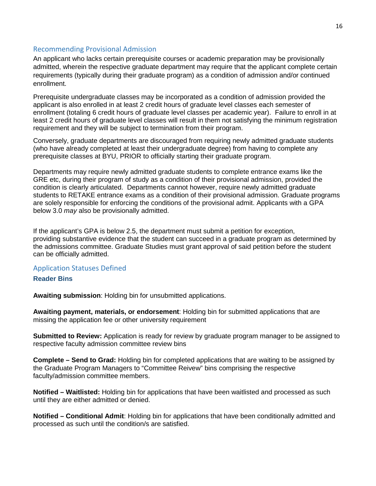#### <span id="page-16-0"></span>Recommending Provisional Admission

An applicant who lacks certain prerequisite courses or academic preparation may be provisionally admitted, wherein the respective graduate department may require that the applicant complete certain requirements (typically during their graduate program) as a condition of admission and/or continued enrollment.

Prerequisite undergraduate classes may be incorporated as a condition of admission provided the applicant is also enrolled in at least 2 credit hours of graduate level classes each semester of enrollment (totaling 6 credit hours of graduate level classes per academic year). Failure to enroll in at least 2 credit hours of graduate level classes will result in them not satisfying the minimum registration requirement and they will be subject to termination from their program.

Conversely, graduate departments are discouraged from requiring newly admitted graduate students (who have already completed at least their undergraduate degree) from having to complete any prerequisite classes at BYU, PRIOR to officially starting their graduate program.

Departments may require newly admitted graduate students to complete entrance exams like the GRE etc, during their program of study as a condition of their provisional admission, provided the condition is clearly articulated. Departments cannot however, require newly admitted graduate students to RETAKE entrance exams as a condition of their provisional admission. Graduate programs are solely responsible for enforcing the conditions of the provisional admit. Applicants with a GPA below 3.0 *may* also be provisionally admitted.

If the applicant's GPA is below 2.5, the department must submit a petition for exception, providing substantive evidence that the student can succeed in a graduate program as determined by the admissions committee. Graduate Studies must grant approval of said petition before the student can be officially admitted.

#### <span id="page-16-1"></span>Application Statuses Defined

#### <span id="page-16-2"></span>**Reader Bins**

**Awaiting submission**: Holding bin for unsubmitted applications.

**Awaiting payment, materials, or endorsement**: Holding bin for submitted applications that are missing the application fee or other university requirement

**Submitted to Review:** Application is ready for review by graduate program manager to be assigned to respective faculty admission committee review bins

**Complete – Send to Grad:** Holding bin for completed applications that are waiting to be assigned by the Graduate Program Managers to "Committee Reivew" bins comprising the respective faculty/admission committee members.

**Notified – Waitlisted:** Holding bin for applications that have been waitlisted and processed as such until they are either admitted or denied.

**Notified – Conditional Admit**: Holding bin for applications that have been conditionally admitted and processed as such until the condition/s are satisfied.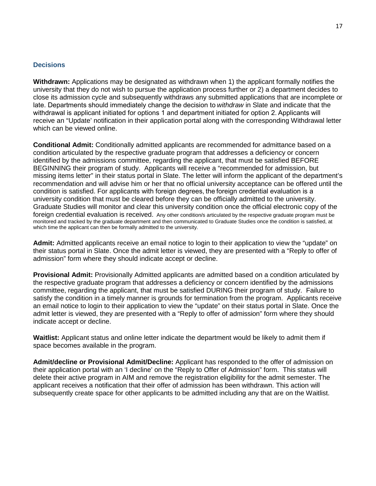#### <span id="page-17-0"></span>**Decisions**

**Withdrawn:** Applications may be designated as withdrawn when 1) the applicant formally notifies the university that they do not wish to pursue the application process further or 2) a department decides to close its admission cycle and subsequently withdraws any submitted applications that are incomplete or late. Departments should immediately change the decision to *withdraw* in Slate and indicate that the withdrawal is applicant initiated for options 1 and department initiated for option 2. Applicants will receive an "Update' notification in their application portal along with the corresponding Withdrawal letter which can be viewed online.

**Conditional Admit:** Conditionally admitted applicants are recommended for admittance based on a condition articulated by the respective graduate program that addresses a deficiency or concern identified by the admissions committee, regarding the applicant, that must be satisfied BEFORE BEGINNING their program of study. Applicants will receive a "recommended for admission, but missing items letter" in their status portal in Slate. The letter will inform the applicant of the department's recommendation and will advise him or her that no official university acceptance can be offered until the condition is satisfied. For applicants with foreign degrees, the foreign credential evaluation is a university condition that must be cleared before they can be officially admitted to the university. Graduate Studies will monitor and clear this university condition once the official electronic copy of the foreign credential evaluation is received. Any other condition/s articulated by the respective graduate program must be monitored and tracked by the graduate department and then communicated to Graduate Studies once the condition is satisfied, at which time the applicant can then be formally admitted to the university.

**Admit:** Admitted applicants receive an email notice to login to their application to view the "update" on their status portal in Slate. Once the admit letter is viewed, they are presented with a "Reply to offer of admission" form where they should indicate accept or decline.

**Provisional Admit:** Provisionally Admitted applicants are admitted based on a condition articulated by the respective graduate program that addresses a deficiency or concern identified by the admissions committee, regarding the applicant, that must be satisfied DURING their program of study. Failure to satisfy the condition in a timely manner is grounds for termination from the program. Applicants receive an email notice to login to their application to view the "update" on their status portal in Slate. Once the admit letter is viewed, they are presented with a "Reply to offer of admission" form where they should indicate accept or decline.

**Waitlist:** Applicant status and online letter indicate the department would be likely to admit them if space becomes available in the program.

**Admit/decline or Provisional Admit/Decline:** Applicant has responded to the offer of admission on their application portal with an 'I decline' on the "Reply to Offer of Admission" form. This status will delete their active program in AIM and remove the registration eligibility for the admit semester. The applicant receives a notification that their offer of admission has been withdrawn. This action will subsequently create space for other applicants to be admitted including any that are on the Waitlist.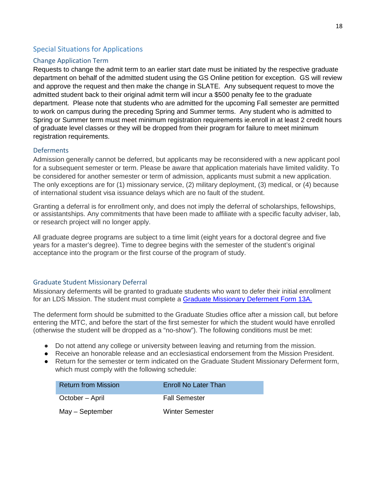# <span id="page-18-0"></span>Special Situations for Applications

#### <span id="page-18-1"></span>Change Application Term

Requests to change the admit term to an earlier start date must be initiated by the respective graduate department on behalf of the admitted student using the GS Online petition for exception. GS will review and approve the request and then make the change in SLATE. Any subsequent request to move the admitted student back to their original admit term will incur a \$500 penalty fee to the graduate department. Please note that students who are admitted for the upcoming Fall semester are permitted to work on campus during the preceding Spring and Summer terms. Any student who is admitted to Spring or Summer term must meet minimum registration requirements ie.enroll in at least 2 credit hours of graduate level classes or they will be dropped from their program for failure to meet minimum registration requirements.

#### <span id="page-18-2"></span>**Deferments**

Admission generally cannot be deferred, but applicants may be reconsidered with a new applicant pool for a subsequent semester or term. Please be aware that application materials have limited validity. To be considered for another semester or term of admission, applicants must submit a new application. The only exceptions are for (1) missionary service, (2) military deployment, (3) medical, or (4) because of international student visa issuance delays which are no fault of the student.

Granting a deferral is for enrollment only, and does not imply the deferral of scholarships, fellowships, or assistantships. Any commitments that have been made to affiliate with a specific faculty adviser, lab, or research project will no longer apply.

All graduate degree programs are subject to a time limit (eight years for a doctoral degree and five years for a master's degree). Time to degree begins with the semester of the student's original acceptance into the program or the first course of the program of study.

#### <span id="page-18-3"></span>Graduate Student Missionary Deferral

Missionary deferments will be granted to graduate students who want to defer their initial enrollment for an LDS Mission. The student must complete a [Graduate Missionary Deferment Form 13A.](https://gradstudies.prod.brigham-young.psdops.com/00000178-f547-d128-affc-f577f8f70000/missionary-deferment-gs-form-13-a)

The deferment form should be submitted to the Graduate Studies office after a mission call, but before entering the MTC, and before the start of the first semester for which the student would have enrolled (otherwise the student will be dropped as a "no-show"). The following conditions must be met:

- Do not attend any college or university between leaving and returning from the mission.
- Receive an honorable release and an ecclesiastical endorsement from the Mission President.
- Return for the semester or term indicated on the Graduate Student Missionary Deferment form, which must comply with the following schedule:

| <b>Return from Mission</b> | Enroll No Later Than   |
|----------------------------|------------------------|
| October – April            | <b>Fall Semester</b>   |
| May - September            | <b>Winter Semester</b> |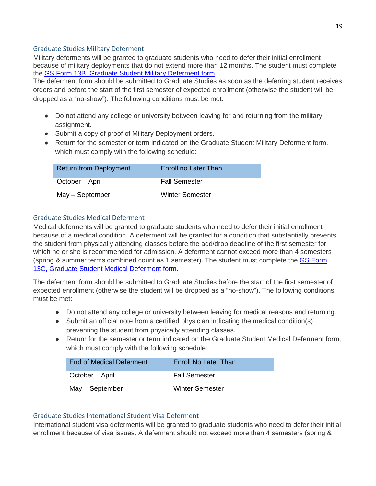# <span id="page-19-0"></span>Graduate Studies Military Deferment

Military deferments will be granted to graduate students who need to defer their initial enrollment because of military deployments that do not extend more than 12 months. The student must complete the [GS Form 13B, Graduate Student Military Deferment form.](https://gradstudies.prod.brigham-young.psdops.com/00000178-f547-d128-affc-f5775d3b0000/military-deferment-gs-form-13-b)

The deferment form should be submitted to Graduate Studies as soon as the deferring student receives orders and before the start of the first semester of expected enrollment (otherwise the student will be dropped as a "no-show"). The following conditions must be met:

- Do not attend any college or university between leaving for and returning from the military assignment.
- Submit a copy of proof of Military Deployment orders.
- Return for the semester or term indicated on the Graduate Student Military Deferment form, which must comply with the following schedule:

| <b>Return from Deployment</b> | Enroll no Later Than   |
|-------------------------------|------------------------|
| October – April               | <b>Fall Semester</b>   |
| May - September               | <b>Winter Semester</b> |

# <span id="page-19-1"></span>Graduate Studies Medical Deferment

Medical deferments will be granted to graduate students who need to defer their initial enrollment because of a medical condition. A deferment will be granted for a condition that substantially prevents the student from physically attending classes before the add/drop deadline of the first semester for which he or she is recommended for admission. A deferment cannot exceed more than 4 semesters (spring & summer terms combined count as 1 semester). The student must complete the GS Form [13C, Graduate Student Medical Deferment form.](https://gradstudies.prod.brigham-young.psdops.com/00000178-f544-d78e-a379-f5c6877f0000/medical-deferment-gs-form-13-c)

The deferment form should be submitted to Graduate Studies before the start of the first semester of expected enrollment (otherwise the student will be dropped as a "no-show"). The following conditions must be met:

- Do not attend any college or university between leaving for medical reasons and returning.
- Submit an official note from a certified physician indicating the medical condition(s) preventing the student from physically attending classes.
- Return for the semester or term indicated on the Graduate Student Medical Deferment form, which must comply with the following schedule:

| End of Medical Deferment | Enroll No Later Than   |
|--------------------------|------------------------|
| October – April          | <b>Fall Semester</b>   |
| May - September          | <b>Winter Semester</b> |

#### <span id="page-19-2"></span>Graduate Studies International Student Visa Deferment

International student visa deferments will be granted to graduate students who need to defer their initial enrollment because of visa issues. A deferment should not exceed more than 4 semesters (spring &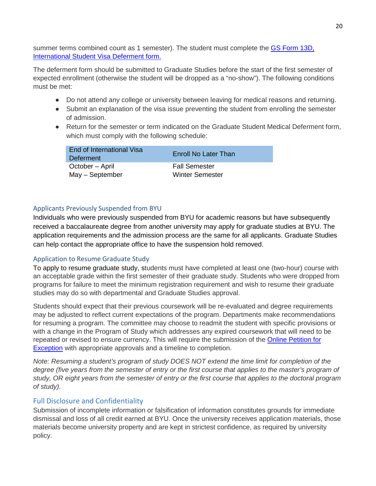summer terms combined count as 1 semester). The student must complete the GS Form 13D, [International Student Visa Deferment form.](https://gradstudies.prod.brigham-young.psdops.com/00000178-f549-d128-affc-f57f32ab0000/covid-19-deferment-gs-form-13-d)

The deferment form should be submitted to Graduate Studies before the start of the first semester of expected enrollment (otherwise the student will be dropped as a "no-show"). The following conditions must be met:

- Do not attend any college or university between leaving for medical reasons and returning.
- Submit an explanation of the visa issue preventing the student from enrolling the semester of admission.
- Return for the semester or term indicated on the Graduate Student Medical Deferment form, which must comply with the following schedule:

| End of International Visa<br>Deferment | <b>Enroll No Later Than</b> |
|----------------------------------------|-----------------------------|
| October - April                        | <b>Fall Semester</b>        |
| May - September                        | Winter Semester             |

# <span id="page-20-0"></span>Applicants Previously Suspended from BYU

Individuals who were previously suspended from BYU for academic reasons but have subsequently received a baccalaureate degree from another university may apply for graduate studies at BYU. The application requirements and the admission process are the same for all applicants. Graduate Studies can help contact the appropriate office to have the suspension hold removed.

#### <span id="page-20-1"></span>Application to Resume Graduate Study

To apply to resume graduate study, students must have completed at least one (two-hour) course with an acceptable grade within the first semester of their graduate study. Students who were dropped from programs for failure to meet the minimum registration requirement and wish to resume their graduate studies may do so with departmental and Graduate Studies approval.

Students should expect that their previous coursework will be re-evaluated and degree requirements may be adjusted to reflect current expectations of the program. Departments make recommendations for resuming a program. The committee may choose to readmit the student with specific provisions or with a change in the Program of Study which addresses any expired coursework that will need to be repeated or revised to ensure currency. This will require the submission of the Online [Petition for](https://gs-petition.sim.byu.edu/)  [Exception](https://gs-petition.sim.byu.edu/) with appropriate approvals and a timeline to completion.

*Note: Resuming a student's program of study DOES NOT extend the time limit for completion of the degree (five years from the semester of entry or the first course that applies to the master's program of study, OR eight years from the semester of entry or the first course that applies to the doctoral program of study).*

# <span id="page-20-2"></span>Full Disclosure and Confidentiality

Submission of incomplete information or falsification of information constitutes grounds for immediate dismissal and loss of all credit earned at BYU. Once the university receives application materials, those materials become university property and are kept in strictest confidence, as required by university policy.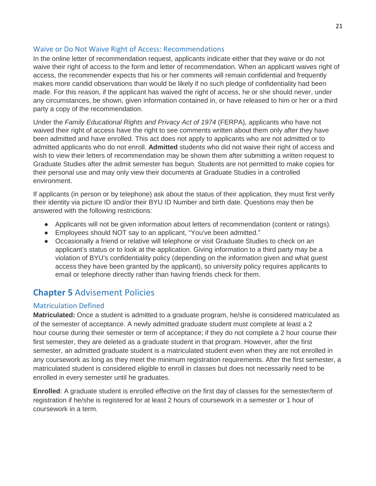#### <span id="page-21-0"></span>Waive or Do Not Waive Right of Access: Recommendations

In the online letter of recommendation request, applicants indicate either that they waive or do not waive their right of access to the form and letter of recommendation. When an applicant waives right of access, the recommender expects that his or her comments will remain confidential and frequently makes more candid observations than would be likely if no such pledge of confidentiality had been made. For this reason, if the applicant has waived the right of access, he or she should never, under any circumstances, be shown, given information contained in, or have released to him or her or a third party a copy of the recommendation.

Under the *Family Educational Rights and Privacy Act of 1974* (FERPA), applicants who have not waived their right of access have the right to see comments written about them only after they have been admitted and have enrolled. This act does not apply to applicants who are not admitted or to admitted applicants who do not enroll. **Admitted** students who did not waive their right of access and wish to view their letters of recommendation may be shown them after submitting a written request to Graduate Studies after the admit semester has begun. Students are not permitted to make copies for their personal use and may only view their documents at Graduate Studies in a controlled environment.

If applicants (in person or by telephone) ask about the status of their application, they must first verify their identity via picture ID and/or their BYU ID Number and birth date. Questions may then be answered with the following restrictions:

- Applicants will not be given information about letters of recommendation (content or ratings).
- Employees should NOT say to an applicant, "You've been admitted."
- Occasionally a friend or relative will telephone or visit Graduate Studies to check on an applicant's status or to look at the application. Giving information to a third party may be a violation of BYU's confidentiality policy (depending on the information given and what guest access they have been granted by the applicant), so university policy requires applicants to email or telephone directly rather than having friends check for them.

# <span id="page-21-1"></span>**Chapter 5** Advisement Policies

# <span id="page-21-2"></span>Matriculation Defined

**Matriculated:** Once a student is admitted to a graduate program, he/she is considered matriculated as of the semester of acceptance. A newly admitted graduate student must complete at least a 2 hour course during their semester or term of acceptance; if they do not complete a 2 hour course their first semester, they are deleted as a graduate student in that program. However, after the first semester, an admitted graduate student is a matriculated student even when they are not enrolled in any coursework as long as they meet the minimum registration requirements. After the first semester, a matriculated student is considered eligible to enroll in classes but does not necessarily need to be enrolled in every semester until he graduates.

**Enrolled**: A graduate student is enrolled effective on the first day of classes for the semester/term of registration if he/she is registered for at least 2 hours of coursework in a semester or 1 hour of coursework in a term.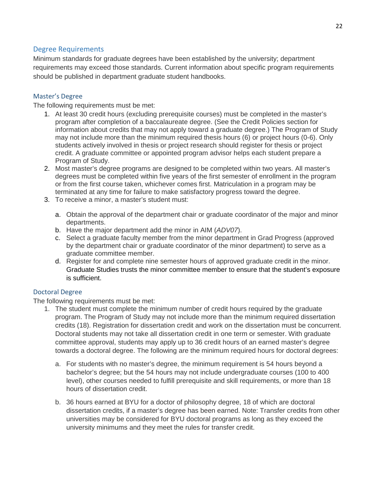# <span id="page-22-0"></span>Degree Requirements

Minimum standards for graduate degrees have been established by the university; department requirements may exceed those standards. Current information about specific program requirements should be published in department graduate student handbooks.

# <span id="page-22-1"></span>Master's Degree

The following requirements must be met:

- 1. At least 30 credit hours (excluding prerequisite courses) must be completed in the master's program after completion of a baccalaureate degree. (See the Credit Policies section for information about credits that may not apply toward a graduate degree.) The Program of Study may not include more than the minimum required thesis hours (6) or project hours (0-6). Only students actively involved in thesis or project research should register for thesis or project credit. A graduate committee or appointed program advisor helps each student prepare a Program of Study.
- 2. Most master's degree programs are designed to be completed within two years. All master's degrees must be completed within five years of the first semester of enrollment in the program or from the first course taken, whichever comes first. Matriculation in a program may be terminated at any time for failure to make satisfactory progress toward the degree.
- 3. To receive a minor, a master's student must:
	- a. Obtain the approval of the department chair or graduate coordinator of the major and minor departments.
	- b. Have the major department add the minor in AIM (*ADV07*).
	- c. Select a graduate faculty member from the minor department in Grad Progress (approved by the department chair or graduate coordinator of the minor department) to serve as a graduate committee member.
	- d. Register for and complete nine semester hours of approved graduate credit in the minor. Graduate Studies trusts the minor committee member to ensure that the student's exposure is sufficient.

#### <span id="page-22-2"></span>Doctoral Degree

The following requirements must be met:

- 1. The student must complete the minimum number of credit hours required by the graduate program. The Program of Study may not include more than the minimum required dissertation credits (18). Registration for dissertation credit and work on the dissertation must be concurrent. Doctoral students may not take all dissertation credit in one term or semester. With graduate committee approval, students may apply up to 36 credit hours of an earned master's degree towards a doctoral degree. The following are the minimum required hours for doctoral degrees:
	- a. For students with no master's degree, the minimum requirement is 54 hours beyond a bachelor's degree; but the 54 hours may not include undergraduate courses (100 to 400 level), other courses needed to fulfill prerequisite and skill requirements, or more than 18 hours of dissertation credit.
	- b. 36 hours earned at BYU for a doctor of philosophy degree, 18 of which are doctoral dissertation credits, if a master's degree has been earned. Note: Transfer credits from other universities may be considered for BYU doctoral programs as long as they exceed the university minimums and they meet the rules for transfer credit.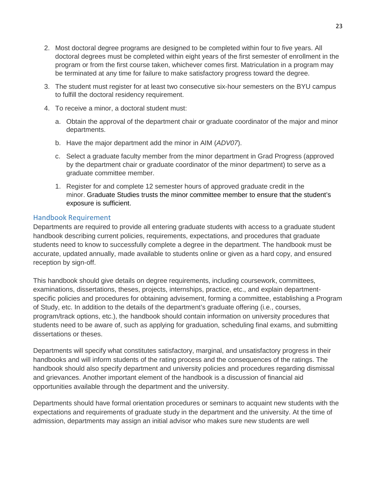- 2. Most doctoral degree programs are designed to be completed within four to five years. All doctoral degrees must be completed within eight years of the first semester of enrollment in the program or from the first course taken, whichever comes first. Matriculation in a program may be terminated at any time for failure to make satisfactory progress toward the degree.
- 3. The student must register for at least two consecutive six-hour semesters on the BYU campus to fulfill the doctoral residency requirement.
- 4. To receive a minor, a doctoral student must:
	- a. Obtain the approval of the department chair or graduate coordinator of the major and minor departments.
	- b. Have the major department add the minor in AIM (*ADV07*).
	- c. Select a graduate faculty member from the minor department in Grad Progress (approved by the department chair or graduate coordinator of the minor department) to serve as a graduate committee member.
	- 1. Register for and complete 12 semester hours of approved graduate credit in the minor. Graduate Studies trusts the minor committee member to ensure that the student's exposure is sufficient.

# <span id="page-23-0"></span>Handbook Requirement

Departments are required to provide all entering graduate students with access to a graduate student handbook describing current policies, requirements, expectations, and procedures that graduate students need to know to successfully complete a degree in the department. The handbook must be accurate, updated annually, made available to students online or given as a hard copy, and ensured reception by sign-off.

This handbook should give details on degree requirements, including coursework, committees, examinations, dissertations, theses, projects, internships, practice, etc., and explain departmentspecific policies and procedures for obtaining advisement, forming a committee, establishing a Program of Study, etc. In addition to the details of the department's graduate offering (i.e., courses, program/track options, etc.), the handbook should contain information on university procedures that students need to be aware of, such as applying for graduation, scheduling final exams, and submitting dissertations or theses.

Departments will specify what constitutes satisfactory, marginal, and unsatisfactory progress in their handbooks and will inform students of the rating process and the consequences of the ratings. The handbook should also specify department and university policies and procedures regarding dismissal and grievances. Another important element of the handbook is a discussion of financial aid opportunities available through the department and the university.

Departments should have formal orientation procedures or seminars to acquaint new students with the expectations and requirements of graduate study in the department and the university. At the time of admission, departments may assign an initial advisor who makes sure new students are well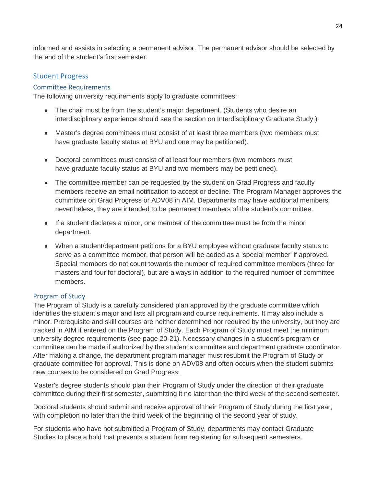informed and assists in selecting a permanent advisor. The permanent advisor should be selected by the end of the student's first semester.

# <span id="page-24-0"></span>Student Progress

#### <span id="page-24-1"></span>Committee Requirements

The following university requirements apply to graduate committees:

- The chair must be from the student's major department. (Students who desire an interdisciplinary experience should see the section on Interdisciplinary Graduate Study.)
- Master's degree committees must consist of at least three members (two members must have graduate faculty status at BYU and one may be petitioned).
- Doctoral committees must consist of at least four members (two members must have graduate faculty status at BYU and two members may be petitioned).
- The committee member can be requested by the student on Grad Progress and faculty members receive an email notification to accept or decline. The Program Manager approves the committee on Grad Progress or ADV08 in AIM. Departments may have additional members; nevertheless, they are intended to be permanent members of the student's committee.
- If a student declares a minor, one member of the committee must be from the minor department.
- When a student/department petitions for a BYU employee without graduate faculty status to serve as a committee member, that person will be added as a 'special member' if approved. Special members do not count towards the number of required committee members (three for masters and four for doctoral), but are always in addition to the required number of committee members.

#### <span id="page-24-2"></span>Program of Study

The Program of Study is a carefully considered plan approved by the graduate committee which identifies the student's major and lists all program and course requirements. It may also include a minor. Prerequisite and skill courses are neither determined nor required by the university, but they are tracked in AIM if entered on the Program of Study. Each Program of Study must meet the minimum university degree requirements (see page 20-21). Necessary changes in a student's program or committee can be made if authorized by the student's committee and department graduate coordinator. After making a change, the department program manager must resubmit the Program of Study or graduate committee for approval. This is done on ADV08 and often occurs when the student submits new courses to be considered on Grad Progress.

Master's degree students should plan their Program of Study under the direction of their graduate committee during their first semester, submitting it no later than the third week of the second semester.

Doctoral students should submit and receive approval of their Program of Study during the first year, with completion no later than the third week of the beginning of the second year of study.

For students who have not submitted a Program of Study, departments may contact Graduate Studies to place a hold that prevents a student from registering for subsequent semesters.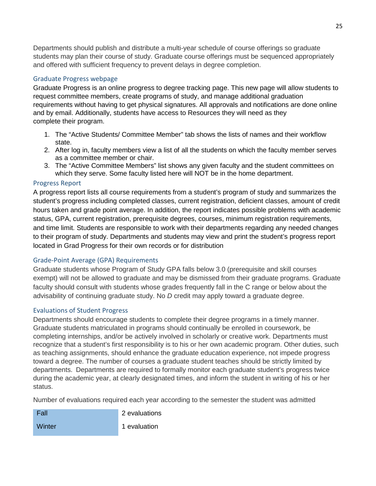Departments should publish and distribute a multi-year schedule of course offerings so graduate students may plan their course of study. Graduate course offerings must be sequenced appropriately and offered with sufficient frequency to prevent delays in degree completion.

# <span id="page-25-0"></span>Graduate Progress webpage

Graduate Progress is an online progress to degree tracking page. This new page will allow students to request committee members, create programs of study, and manage additional graduation requirements without having to get physical signatures. All approvals and notifications are done online and by email. Additionally, students have access to Resources they will need as they complete their program.

- 1. The "Active Students/ Committee Member" tab shows the lists of names and their workflow state.
- 2. After log in, faculty members view a list of all the students on which the faculty member serves as a committee member or chair.
- 3. The "Active Committee Members" list shows any given faculty and the student committees on which they serve. Some faculty listed here will NOT be in the home department.

#### <span id="page-25-1"></span>Progress Report

A progress report lists all course requirements from a student's program of study and summarizes the student's progress including completed classes, current registration, deficient classes, amount of credit hours taken and grade point average. In addition, the report indicates possible problems with academic status, GPA, current registration, prerequisite degrees, courses, minimum registration requirements, and time limit. Students are responsible to work with their departments regarding any needed changes to their program of study. Departments and students may view and print the student's progress report located in Grad Progress for their own records or for distribution

# <span id="page-25-2"></span>Grade-Point Average (GPA) Requirements

Graduate students whose Program of Study GPA falls below 3.0 (prerequisite and skill courses exempt) will not be allowed to graduate and may be dismissed from their graduate programs. Graduate faculty should consult with students whose grades frequently fall in the C range or below about the advisability of continuing graduate study. No *D* credit may apply toward a graduate degree.

#### <span id="page-25-3"></span>Evaluations of Student Progress

Departments should encourage students to complete their degree programs in a timely manner. Graduate students matriculated in programs should continually be enrolled in coursework, be completing internships, and/or be actively involved in scholarly or creative work. Departments must recognize that a student's first responsibility is to his or her own academic program. Other duties, such as teaching assignments, should enhance the graduate education experience, not impede progress toward a degree. The number of courses a graduate student teaches should be strictly limited by departments. Departments are required to formally monitor each graduate student's progress twice during the academic year, at clearly designated times, and inform the student in writing of his or her status.

Number of evaluations required each year according to the semester the student was admitted

| - Fall | 2 evaluations |
|--------|---------------|
| Winter | 1 evaluation  |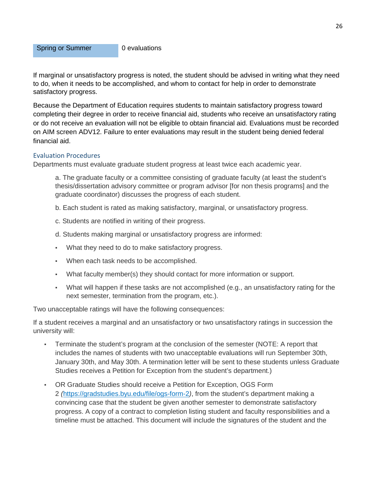Spring or Summer 0 evaluations

If marginal or unsatisfactory progress is noted, the student should be advised in writing what they need to do, when it needs to be accomplished, and whom to contact for help in order to demonstrate satisfactory progress.

Because the Department of Education requires students to maintain satisfactory progress toward completing their degree in order to receive financial aid, students who receive an unsatisfactory rating or do not receive an evaluation will not be eligible to obtain financial aid. Evaluations must be recorded on AIM screen ADV12. Failure to enter evaluations may result in the student being denied federal financial aid.

#### <span id="page-26-0"></span>Evaluation Procedures

Departments must evaluate graduate student progress at least twice each academic year.

a. The graduate faculty or a committee consisting of graduate faculty (at least the student's thesis/dissertation advisory committee or program advisor [for non thesis programs] and the graduate coordinator) discusses the progress of each student.

- b. Each student is rated as making satisfactory, marginal, or unsatisfactory progress.
- c. Students are notified in writing of their progress.
- d. Students making marginal or unsatisfactory progress are informed:
- What they need to do to make satisfactory progress.
- When each task needs to be accomplished.
- What faculty member(s) they should contact for more information or support.
- What will happen if these tasks are not accomplished (e.g., an unsatisfactory rating for the next semester, termination from the program, etc.).

Two unacceptable ratings will have the following consequences:

If a student receives a marginal and an unsatisfactory or two unsatisfactory ratings in succession the university will:

- Terminate the student's program at the conclusion of the semester (NOTE: A report that includes the names of students with two unacceptable evaluations will run September 30th, January 30th, and May 30th. A termination letter will be sent to these students unless Graduate Studies receives a Petition for Exception from the student's department.)
- OR Graduate Studies should receive a Petition for Exception, OGS Form 2 *(*<https://gradstudies.byu.edu/file/ogs-form-2>*)*, from the student's department making a convincing case that the student be given another semester to demonstrate satisfactory progress. A copy of a contract to completion listing student and faculty responsibilities and a timeline must be attached. This document will include the signatures of the student and the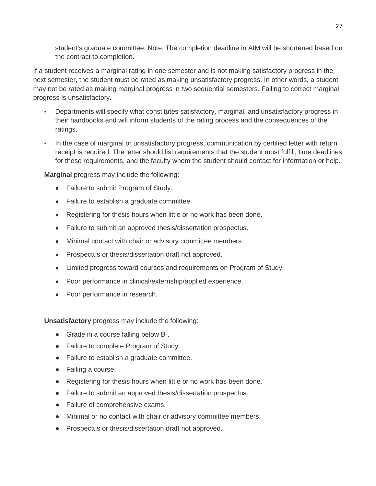student's graduate committee. Note: The completion deadline in AIM will be shortened based on the contract to completion.

If a student receives a marginal rating in one semester and is not making satisfactory progress in the next semester, the student must be rated as making unsatisfactory progress. In other words, a student may not be rated as making marginal progress in two sequential semesters. Failing to correct marginal progress is unsatisfactory.

- Departments will specify what constitutes satisfactory, marginal, and unsatisfactory progress in their handbooks and will inform students of the rating process and the consequences of the ratings.
- In the case of marginal or unsatisfactory progress, communication by certified letter with return receipt is required. The letter should list requirements that the student must fulfill, time deadlines for those requirements, and the faculty whom the student should contact for information or help.

**Marginal** progress may include the following:

- Failure to submit Program of Study.
- Failure to establish a graduate committee
- Registering for thesis hours when little or no work has been done.
- Failure to submit an approved thesis/dissertation prospectus.
- Minimal contact with chair or advisory committee members.
- Prospectus or thesis/dissertation draft not approved.
- Limited progress toward courses and requirements on Program of Study.
- Poor performance in clinical/externship/applied experience.
- Poor performance in research.

**Unsatisfactory** progress may include the following:

- Grade in a course falling below B-.
- Failure to complete Program of Study.
- Failure to establish a graduate committee.
- Failing a course.
- Registering for thesis hours when little or no work has been done.
- Failure to submit an approved thesis/dissertation prospectus.
- Failure of comprehensive exams.
- Minimal or no contact with chair or advisory committee members.
- Prospectus or thesis/dissertation draft not approved.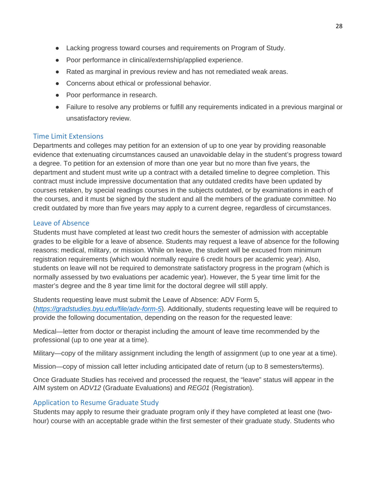- Lacking progress toward courses and requirements on Program of Study.
- Poor performance in clinical/externship/applied experience.
- Rated as marginal in previous review and has not remediated weak areas.
- Concerns about ethical or professional behavior.
- Poor performance in research.
- Failure to resolve any problems or fulfill any requirements indicated in a previous marginal or unsatisfactory review.

# <span id="page-28-0"></span>Time Limit Extensions

Departments and colleges may petition for an extension of up to one year by providing reasonable evidence that extenuating circumstances caused an unavoidable delay in the student's progress toward a degree. To petition for an extension of more than one year but no more than five years, the department and student must write up a contract with a detailed timeline to degree completion. This contract must include impressive documentation that any outdated credits have been updated by courses retaken, by special readings courses in the subjects outdated, or by examinations in each of the courses, and it must be signed by the student and all the members of the graduate committee. No credit outdated by more than five years may apply to a current degree, regardless of circumstances.

# <span id="page-28-1"></span>Leave of Absence

Students must have completed at least two credit hours the semester of admission with acceptable grades to be eligible for a leave of absence. Students may request a leave of absence for the following reasons: medical, military, or mission. While on leave, the student will be excused from minimum registration requirements (which would normally require 6 credit hours per academic year). Also, students on leave will not be required to demonstrate satisfactory progress in the program (which is normally assessed by two evaluations per academic year). However, the 5 year time limit for the master's degree and the 8 year time limit for the doctoral degree will still apply.

Students requesting leave must submit the Leave of Absence: ADV Form 5, (*<https://gradstudies.byu.edu/file/adv-form-5>*). Additionally, students requesting leave will be required to provide the following documentation, depending on the reason for the requested leave:

Medical—letter from doctor or therapist including the amount of leave time recommended by the professional (up to one year at a time).

Military—copy of the military assignment including the length of assignment (up to one year at a time).

Mission—copy of mission call letter including anticipated date of return (up to 8 semesters/terms).

Once Graduate Studies has received and processed the request, the "leave" status will appear in the AIM system on *ADV12* (Graduate Evaluations) and *REG01* (Registration).

# <span id="page-28-2"></span>Application to Resume Graduate Study

Students may apply to resume their graduate program only if they have completed at least one (twohour) course with an acceptable grade within the first semester of their graduate study. Students who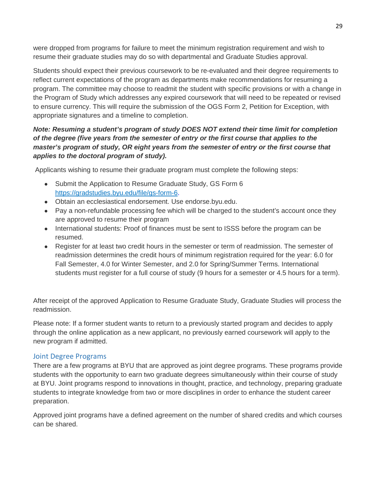were dropped from programs for failure to meet the minimum registration requirement and wish to resume their graduate studies may do so with departmental and Graduate Studies approval.

Students should expect their previous coursework to be re-evaluated and their degree requirements to reflect current expectations of the program as departments make recommendations for resuming a program. The committee may choose to readmit the student with specific provisions or with a change in the Program of Study which addresses any expired coursework that will need to be repeated or revised to ensure currency. This will require the submission of the OGS Form 2, Petition for Exception, with appropriate signatures and a timeline to completion.

# *Note: Resuming a student's program of study DOES NOT extend their time limit for completion of the degree (five years from the semester of entry or the first course that applies to the master's program of study, OR eight years from the semester of entry or the first course that applies to the doctoral program of study).*

Applicants wishing to resume their graduate program must complete the following steps:

- Submit the Application to Resume Graduate Study, GS Form 6 [https://gradstudies.byu.edu/file/gs-form-6.](https://gradstudies.byu.edu/file/gs-form-6)
- Obtain an ecclesiastical endorsement. Use endorse.byu.edu.
- Pay a non-refundable processing fee which will be charged to the student's account once they are approved to resume their program
- International students: Proof of finances must be sent to ISSS before the program can be resumed.
- Register for at least two credit hours in the semester or term of readmission. The semester of readmission determines the credit hours of minimum registration required for the year: 6.0 for Fall Semester, 4.0 for Winter Semester, and 2.0 for Spring/Summer Terms. International students must register for a full course of study (9 hours for a semester or 4.5 hours for a term).

After receipt of the approved Application to Resume Graduate Study, Graduate Studies will process the readmission.

Please note: If a former student wants to return to a previously started program and decides to apply through the online application as a new applicant, no previously earned coursework will apply to the new program if admitted.

# <span id="page-29-0"></span>Joint Degree Programs

There are a few programs at BYU that are approved as joint degree programs. These programs provide students with the opportunity to earn two graduate degrees simultaneously within their course of study at BYU. Joint programs respond to innovations in thought, practice, and technology, preparing graduate students to integrate knowledge from two or more disciplines in order to enhance the student career preparation.

Approved joint programs have a defined agreement on the number of shared credits and which courses can be shared.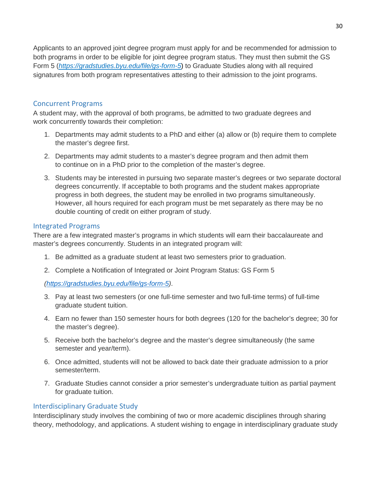Applicants to an approved joint degree program must apply for and be recommended for admission to both programs in order to be eligible for joint degree program status. They must then submit the GS Form 5 (*[https://gradstudies.byu.edu/file/gs-form-5](https://gradstudies.byu.edu/file/gs-form-5%C2%A0)*) to Graduate Studies along with all required signatures from both program representatives attesting to their admission to the joint programs.

# <span id="page-30-0"></span>Concurrent Programs

A student may, with the approval of both programs, be admitted to two graduate degrees and work concurrently towards their completion:

- 1. Departments may admit students to a PhD and either (a) allow or (b) require them to complete the master's degree first.
- 2. Departments may admit students to a master's degree program and then admit them to continue on in a PhD prior to the completion of the master's degree.
- 3. Students may be interested in pursuing two separate master's degrees or two separate doctoral degrees concurrently. If acceptable to both programs and the student makes appropriate progress in both degrees, the student may be enrolled in two programs simultaneously. However, all hours required for each program must be met separately as there may be no double counting of credit on either program of study.

# <span id="page-30-1"></span>Integrated Programs

There are a few integrated master's programs in which students will earn their baccalaureate and master's degrees concurrently. Students in an integrated program will:

- 1. Be admitted as a graduate student at least two semesters prior to graduation.
- 2. Complete a Notification of Integrated or Joint Program Status: GS Form 5

*[\(https://gradstudies.byu.edu/file/gs-form-5\)](https://gradstudies.byu.edu/file/gs-form-5)*.

- 3. Pay at least two semesters (or one full-time semester and two full-time terms) of full-time graduate student tuition.
- 4. Earn no fewer than 150 semester hours for both degrees (120 for the bachelor's degree; 30 for the master's degree).
- 5. Receive both the bachelor's degree and the master's degree simultaneously (the same semester and year/term).
- 6. Once admitted, students will not be allowed to back date their graduate admission to a prior semester/term.
- 7. Graduate Studies cannot consider a prior semester's undergraduate tuition as partial payment for graduate tuition.

#### <span id="page-30-2"></span>Interdisciplinary Graduate Study

Interdisciplinary study involves the combining of two or more academic disciplines through sharing theory, methodology, and applications. A student wishing to engage in interdisciplinary graduate study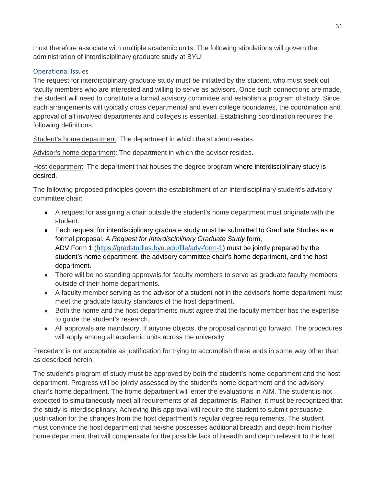must therefore associate with multiple academic units. The following stipulations will govern the administration of interdisciplinary graduate study at BYU:

# <span id="page-31-0"></span>Operational Issues

The request for interdisciplinary graduate study must be initiated by the student, who must seek out faculty members who are interested and willing to serve as advisors. Once such connections are made, the student will need to constitute a formal advisory committee and establish a program of study. Since such arrangements will typically cross departmental and even college boundaries, the coordination and approval of all involved departments and colleges is essential. Establishing coordination requires the following definitions.

Student's home department: The department in which the student resides.

Advisor's home department: The department in which the advisor resides.

Host department: The department that houses the degree program where interdisciplinary study is desired.

The following proposed principles govern the establishment of an interdisciplinary student's advisory committee chair:

- A request for assigning a chair outside the student's home department must originate with the student.
- Each request for interdisciplinary graduate study must be submitted to Graduate Studies as a formal proposal. *A Request for Interdisciplinary Graduate Study* form, ADV Form 1 [\(](http://graduatestudies.byu.edu/sites/default/files/graduatestudies.byu.edu/files/files/forms/adv_form_1.pdf)[https://gradstudies.byu.edu/file/adv-form-1\)](https://gradstudies.byu.edu/file/adv-form-1) must be jointly prepared by the student's home department, the advisory committee chair's home department, and the host department.
- There will be no standing approvals for faculty members to serve as graduate faculty members outside of their home departments.
- A faculty member serving as the advisor of a student not in the advisor's home department must meet the graduate faculty standards of the host department.
- Both the home and the host departments must agree that the faculty member has the expertise to guide the student's research.
- All approvals are mandatory. If anyone objects, the proposal cannot go forward. The procedures will apply among all academic units across the university.

Precedent is not acceptable as justification for trying to accomplish these ends in some way other than as described herein.

The student's program of study must be approved by both the student's home department and the host department. Progress will be jointly assessed by the student's home department and the advisory chair's home department. The home department will enter the evaluations in AIM. The student is not expected to simultaneously meet all requirements of all departments. Rather, it must be recognized that the study is interdisciplinary. Achieving this approval will require the student to submit persuasive justification for the changes from the host department's regular degree requirements. The student must convince the host department that he/she possesses additional breadth and depth from his/her home department that will compensate for the possible lack of breadth and depth relevant to the host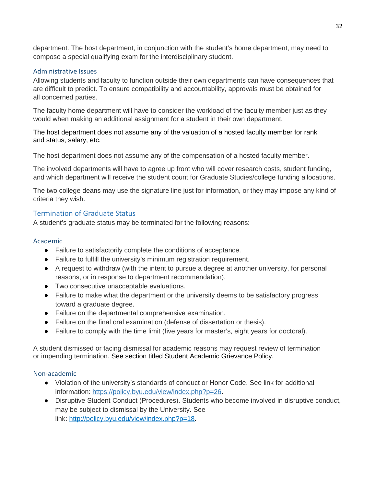department. The host department, in conjunction with the student's home department, may need to compose a special qualifying exam for the interdisciplinary student.

### <span id="page-32-0"></span>Administrative Issues

Allowing students and faculty to function outside their own departments can have consequences that are difficult to predict. To ensure compatibility and accountability, approvals must be obtained for all concerned parties.

The faculty home department will have to consider the workload of the faculty member just as they would when making an additional assignment for a student in their own department.

The host department does not assume any of the valuation of a hosted faculty member for rank and status, salary, etc.

The host department does not assume any of the compensation of a hosted faculty member.

The involved departments will have to agree up front who will cover research costs, student funding, and which department will receive the student count for Graduate Studies/college funding allocations.

The two college deans may use the signature line just for information, or they may impose any kind of criteria they wish.

# <span id="page-32-1"></span>Termination of Graduate Status

A student's graduate status may be terminated for the following reasons:

# <span id="page-32-2"></span>Academic

- Failure to satisfactorily complete the conditions of acceptance.
- Failure to fulfill the university's minimum registration requirement.
- A request to withdraw (with the intent to pursue a degree at another university, for personal reasons, or in response to department recommendation).
- Two consecutive unacceptable evaluations.
- Failure to make what the department or the university deems to be satisfactory progress toward a graduate degree.
- Failure on the departmental comprehensive examination.
- Failure on the final oral examination (defense of dissertation or thesis).
- Failure to comply with the time limit (five years for master's, eight years for doctoral).

A student dismissed or facing dismissal for academic reasons may request review of termination or impending termination. See section titled Student Academic Grievance Policy.

#### <span id="page-32-3"></span>Non-academic

- Violation of the university's standards of conduct or Honor Code. See link for additional information: [https://policy.byu.edu/view/index.php?p=26.](https://policy.byu.edu/view/index.php?p=26)
- Disruptive Student Conduct (Procedures). Students who become involved in disruptive conduct, may be subject to dismissal by the University. See link: [http://policy.byu.edu/view/index.php?p=18.](http://policy.byu.edu/view/index.php?p=18)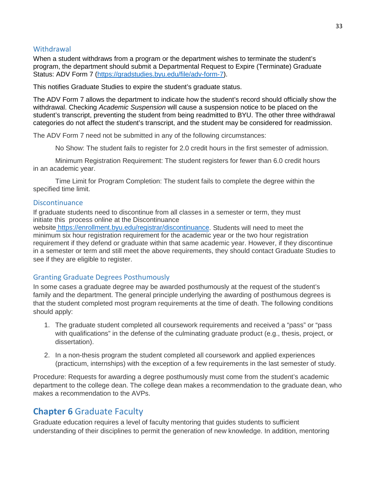# <span id="page-33-0"></span>**Withdrawal**

When a student withdraws from a program or the department wishes to terminate the student's program, the department should submit a Departmental Request to Expire (Terminate) Graduate Status: ADV Form 7 [\(https://gradstudies.byu.edu/file/adv-form-7\)](https://gradstudies.byu.edu/file/adv-form-7).

This notifies Graduate Studies to expire the student's graduate status.

The ADV Form 7 allows the department to indicate how the student's record should officially show the withdrawal. Checking *Academic Suspension* will cause a suspension notice to be placed on the student's transcript, preventing the student from being readmitted to BYU. The other three withdrawal categories do not affect the student's transcript, and the student may be considered for readmission.

The ADV Form 7 need not be submitted in any of the following circumstances:

No Show: The student fails to register for 2.0 credit hours in the first semester of admission.

Minimum Registration Requirement: The student registers for fewer than 6.0 credit hours in an academic year.

Time Limit for Program Completion: The student fails to complete the degree within the specified time limit.

#### <span id="page-33-1"></span>**Discontinuance**

If graduate students need to discontinue from all classes in a semester or term, they must initiate this process online at the Discontinuance

website [https://enrollment.byu.edu/registrar/discontinuance.](https://enrollment.byu.edu/registrar/discontinuance) Students will need to meet the minimum six hour registration requirement for the academic year or the two hour registration requirement if they defend or graduate within that same academic year. However, if they discontinue in a semester or term and still meet the above requirements, they should contact Graduate Studies to see if they are eligible to register.

#### <span id="page-33-2"></span>Granting Graduate Degrees Posthumously

In some cases a graduate degree may be awarded posthumously at the request of the student's family and the department. The general principle underlying the awarding of posthumous degrees is that the student completed most program requirements at the time of death. The following conditions should apply:

- 1. The graduate student completed all coursework requirements and received a "pass" or "pass with qualifications" in the defense of the culminating graduate product (e.g., thesis, project, or dissertation).
- 2. In a non-thesis program the student completed all coursework and applied experiences (practicum, internships) with the exception of a few requirements in the last semester of study.

Procedure: Requests for awarding a degree posthumously must come from the student's academic department to the college dean. The college dean makes a recommendation to the graduate dean, who makes a recommendation to the AVPs.

# <span id="page-33-3"></span>**Chapter 6** Graduate Faculty

Graduate education requires a level of faculty mentoring that guides students to sufficient understanding of their disciplines to permit the generation of new knowledge. In addition, mentoring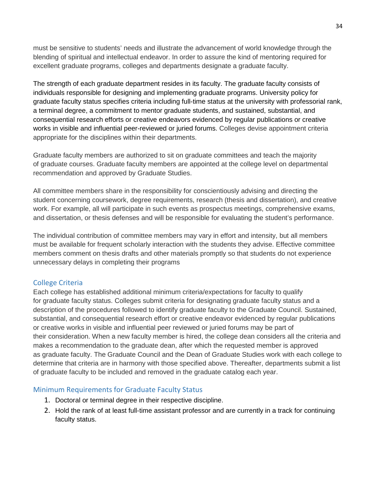must be sensitive to students' needs and illustrate the advancement of world knowledge through the blending of spiritual and intellectual endeavor. In order to assure the kind of mentoring required for excellent graduate programs, colleges and departments designate a graduate faculty.

The strength of each graduate department resides in its faculty. The graduate faculty consists of individuals responsible for designing and implementing graduate programs. University policy for graduate faculty status specifies criteria including full-time status at the university with professorial rank, a terminal degree, a commitment to mentor graduate students, and sustained, substantial, and consequential research efforts or creative endeavors evidenced by regular publications or creative works in visible and influential peer-reviewed or juried forums. Colleges devise appointment criteria appropriate for the disciplines within their departments.

Graduate faculty members are authorized to sit on graduate committees and teach the majority of graduate courses. Graduate faculty members are appointed at the college level on departmental recommendation and approved by Graduate Studies.

All committee members share in the responsibility for conscientiously advising and directing the student concerning coursework, degree requirements, research (thesis and dissertation), and creative work. For example, all will participate in such events as prospectus meetings, comprehensive exams, and dissertation, or thesis defenses and will be responsible for evaluating the student's performance.

The individual contribution of committee members may vary in effort and intensity, but all members must be available for frequent scholarly interaction with the students they advise. Effective committee members comment on thesis drafts and other materials promptly so that students do not experience unnecessary delays in completing their programs

# <span id="page-34-0"></span>College Criteria

Each college has established additional minimum criteria/expectations for faculty to qualify for graduate faculty status. Colleges submit criteria for designating graduate faculty status and a description of the procedures followed to identify graduate faculty to the Graduate Council. Sustained, substantial, and consequential research effort or creative endeavor evidenced by regular publications or creative works in visible and influential peer reviewed or juried forums may be part of their consideration. When a new faculty member is hired, the college dean considers all the criteria and makes a recommendation to the graduate dean, after which the requested member is approved as graduate faculty. The Graduate Council and the Dean of Graduate Studies work with each college to determine that criteria are in harmony with those specified above. Thereafter, departments submit a list of graduate faculty to be included and removed in the graduate catalog each year.

#### <span id="page-34-1"></span>Minimum Requirements for Graduate Faculty Status

- 1. Doctoral or terminal degree in their respective discipline.
- 2. Hold the rank of at least full-time assistant professor and are currently in a track for continuing faculty status.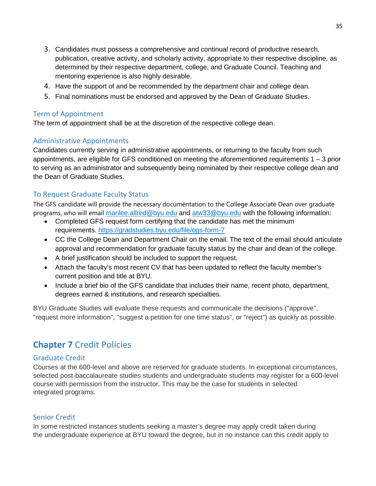- 3. Candidates must possess a comprehensive and continual record of productive research, publication, creative activity, and scholarly activity, appropriate to their respective discipline, as determined by their respective department, college, and Graduate Council. Teaching and mentoring experience is also highly desirable.
- 4. Have the support of and be recommended by the department chair and college dean.
- 5. Final nominations must be endorsed and approved by the Dean of Graduate Studies.

### <span id="page-35-0"></span>Term of Appointment

The term of appointment shall be at the discretion of the respective college dean.    

# <span id="page-35-1"></span>Administrative Appointments

Candidates currently serving in administrative appointments, or returning to the faculty from such appointments, are eligible for GFS conditioned on meeting the aforementioned requirements 1 – 3 prior to serving as an administrator and subsequently being nominated by their respective college dean and the Dean of Graduate Studies.

# <span id="page-35-2"></span>To Request Graduate Faculty Status

The GFS candidate will provide the necessary documentation to the College Associate Dean over graduate programs, who will email [marilee.allred@byu.edu](mailto:marilee.allred@byu.edu) and [atw33@byu.edu](mailto:atw33@byu.edu) with the following information:

- Completed GFS request form certifying that the candidate has met the minimum requirements. <https://gradstudies.byu.edu/file/ogs-form-7>
- CC the College Dean and Department Chair on the email. The text of the email should articulate approval and recommendation for graduate faculty status by the chair and dean of the college.
- A brief justification should be included to support the request.
- Attach the faculty's most recent CV that has been updated to reflect the faculty member's current position and title at BYU.
- Include a brief bio of the GFS candidate that includes their name, recent photo, department, degrees earned & institutions, and research specialties.

BYU Graduate Studies will evaluate these requests and communicate the decisions ("approve", "request more information", "suggest a petition for one time status", or "reject") as quickly as possible.

# <span id="page-35-3"></span>**Chapter 7** Credit Policies

#### <span id="page-35-4"></span>Graduate Credit

Courses at the 600-level and above are reserved for graduate students. In exceptional circumstances, selected post-baccalaureate studies students and undergraduate students may register for a 600-level course with permission from the instructor. This may be the case for students in selected integrated programs.

#### <span id="page-35-5"></span>Senior Credit

In some restricted instances students seeking a master's degree may apply credit taken during the undergraduate experience at BYU toward the degree, but in no instance can this credit apply to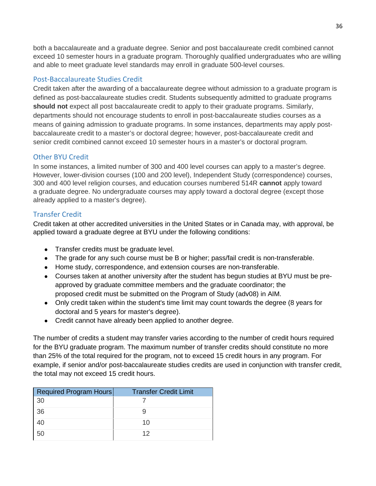both a baccalaureate and a graduate degree. Senior and post baccalaureate credit combined cannot exceed 10 semester hours in a graduate program. Thoroughly qualified undergraduates who are willing and able to meet graduate level standards may enroll in graduate 500-level courses.

# <span id="page-36-0"></span>Post-Baccalaureate Studies Credit

Credit taken after the awarding of a baccalaureate degree without admission to a graduate program is defined as post-baccalaureate studies credit. Students subsequently admitted to graduate programs **should not** expect all post baccalaureate credit to apply to their graduate programs. Similarly, departments should not encourage students to enroll in post-baccalaureate studies courses as a means of gaining admission to graduate programs. In some instances, departments may apply postbaccalaureate credit to a master's or doctoral degree; however, post-baccalaureate credit and senior credit combined cannot exceed 10 semester hours in a master's or doctoral program.

# <span id="page-36-1"></span>Other BYU Credit

In some instances, a limited number of 300 and 400 level courses can apply to a master's degree. However, lower-division courses (100 and 200 level), Independent Study (correspondence) courses, 300 and 400 level religion courses, and education courses numbered 514R **cannot** apply toward a graduate degree. No undergraduate courses may apply toward a doctoral degree (except those already applied to a master's degree).

# <span id="page-36-2"></span>Transfer Credit

Credit taken at other accredited universities in the United States or in Canada may, with approval, be applied toward a graduate degree at BYU under the following conditions:

- Transfer credits must be graduate level.
- The grade for any such course must be B or higher; pass/fail credit is non-transferable.
- Home study, correspondence, and extension courses are non-transferable.
- Courses taken at another university after the student has begun studies at BYU must be preapproved by graduate committee members and the graduate coordinator; the proposed credit must be submitted on the Program of Study (adv08) in AIM.
- Only credit taken within the student's time limit may count towards the degree (8 years for doctoral and 5 years for master's degree).
- Credit cannot have already been applied to another degree.

The number of credits a student may transfer varies according to the number of credit hours required for the BYU graduate program. The maximum number of transfer credits should constitute no more than 25% of the total required for the program, not to exceed 15 credit hours in any program. For example, if senior and/or post-baccalaureate studies credits are used in conjunction with transfer credit, the total may not exceed 15 credit hours.

| Required Program Hours | <b>Transfer Credit Limit</b> |
|------------------------|------------------------------|
| 30                     |                              |
| 36                     |                              |
|                        | 10                           |
| 50                     | 12                           |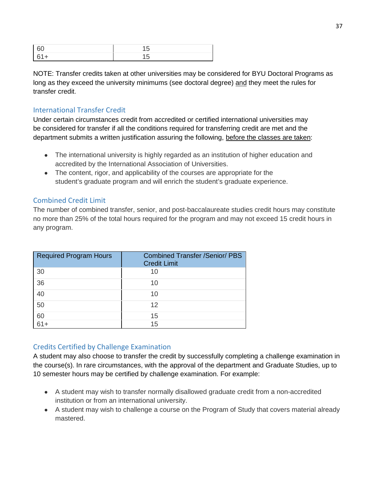NOTE: Transfer credits taken at other universities may be considered for BYU Doctoral Programs as long as they exceed the university minimums (see doctoral degree) and they meet the rules for transfer credit.

# <span id="page-37-0"></span>International Transfer Credit

Under certain circumstances credit from accredited or certified international universities may be considered for transfer if all the conditions required for transferring credit are met and the department submits a written justification assuring the following, before the classes are taken:

- The international university is highly regarded as an institution of higher education and accredited by the International Association of Universities.
- The content, rigor, and applicability of the courses are appropriate for the student's graduate program and will enrich the student's graduate experience.

# <span id="page-37-1"></span>Combined Credit Limit

The number of combined transfer, senior, and post-baccalaureate studies credit hours may constitute no more than 25% of the total hours required for the program and may not exceed 15 credit hours in any program.

| <b>Required Program Hours</b> | <b>Combined Transfer /Senior/ PBS</b><br><b>Credit Limit</b> |
|-------------------------------|--------------------------------------------------------------|
| 30                            | 10                                                           |
| 36                            | 10                                                           |
| 40                            | 10                                                           |
| 50                            | 12                                                           |
| 60                            | 15                                                           |
| 61+                           | 15                                                           |

# <span id="page-37-2"></span>Credits Certified by Challenge Examination

A student may also choose to transfer the credit by successfully completing a challenge examination in the course(s). In rare circumstances, with the approval of the department and Graduate Studies, up to 10 semester hours may be certified by challenge examination. For example:

- A student may wish to transfer normally disallowed graduate credit from a non-accredited institution or from an international university.
- A student may wish to challenge a course on the Program of Study that covers material already mastered.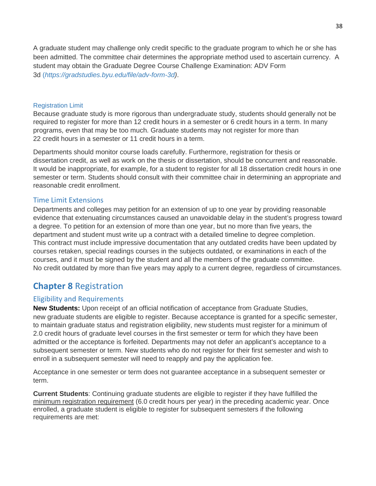A graduate student may challenge only credit specific to the graduate program to which he or she has been admitted. The committee chair determines the appropriate method used to ascertain currency. A student may obtain the Graduate Degree Course Challenge Examination: ADV Form 3d (*https://gradstudies.byu.edu/file/adv-form-3d)*.

#### <span id="page-38-0"></span>Registration Limit

Because graduate study is more rigorous than undergraduate study, students should generally not be required to register for more than 12 credit hours in a semester or 6 credit hours in a term. In many programs, even that may be too much. Graduate students may not register for more than 22 credit hours in a semester or 11 credit hours in a term.

Departments should monitor course loads carefully. Furthermore, registration for thesis or dissertation credit, as well as work on the thesis or dissertation, should be concurrent and reasonable. It would be inappropriate, for example, for a student to register for all 18 dissertation credit hours in one semester or term. Students should consult with their committee chair in determining an appropriate and reasonable credit enrollment.

#### <span id="page-38-1"></span>Time Limit Extensions

Departments and colleges may petition for an extension of up to one year by providing reasonable evidence that extenuating circumstances caused an unavoidable delay in the student's progress toward a degree. To petition for an extension of more than one year, but no more than five years, the department and student must write up a contract with a detailed timeline to degree completion. This contract must include impressive documentation that any outdated credits have been updated by courses retaken, special readings courses in the subjects outdated, or examinations in each of the courses, and it must be signed by the student and all the members of the graduate committee. No credit outdated by more than five years may apply to a current degree, regardless of circumstances.

# <span id="page-38-2"></span>**Chapter 8** Registration

#### <span id="page-38-3"></span>Eligibility and Requirements

**New Students:** Upon receipt of an official notification of acceptance from Graduate Studies, new graduate students are eligible to register. Because acceptance is granted for a specific semester, to maintain graduate status and registration eligibility, new students must register for a minimum of 2.0 credit hours of graduate level courses in the first semester or term for which they have been admitted or the acceptance is forfeited. Departments may not defer an applicant's acceptance to a subsequent semester or term. New students who do not register for their first semester and wish to enroll in a subsequent semester will need to reapply and pay the application fee.

Acceptance in one semester or term does not guarantee acceptance in a subsequent semester or term.

**Current Students**: Continuing graduate students are eligible to register if they have fulfilled the minimum registration requirement (6.0 credit hours per year) in the preceding academic year. Once enrolled, a graduate student is eligible to register for subsequent semesters if the following requirements are met: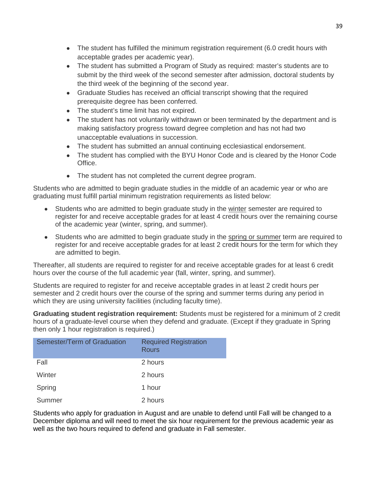- The student has fulfilled the minimum registration requirement (6.0 credit hours with acceptable grades per academic year).
- The student has submitted a Program of Study as required: master's students are to submit by the third week of the second semester after admission, doctoral students by the third week of the beginning of the second year.
- Graduate Studies has received an official transcript showing that the required prerequisite degree has been conferred.
- The student's time limit has not expired.
- The student has not voluntarily withdrawn or been terminated by the department and is making satisfactory progress toward degree completion and has not had two unacceptable evaluations in succession.
- The student has submitted an annual continuing ecclesiastical endorsement.
- The student has complied with the BYU Honor Code and is cleared by the Honor Code Office.
- The student has not completed the current degree program.

Students who are admitted to begin graduate studies in the middle of an academic year or who are graduating must fulfill partial minimum registration requirements as listed below:

- Students who are admitted to begin graduate study in the winter semester are required to register for and receive acceptable grades for at least 4 credit hours over the remaining course of the academic year (winter, spring, and summer).
- Students who are admitted to begin graduate study in the spring or summer term are required to register for and receive acceptable grades for at least 2 credit hours for the term for which they are admitted to begin.

Thereafter, all students are required to register for and receive acceptable grades for at least 6 credit hours over the course of the full academic year (fall, winter, spring, and summer).

Students are required to register for and receive acceptable grades in at least 2 credit hours per semester and 2 credit hours over the course of the spring and summer terms during any period in which they are using university facilities (including faculty time).

**Graduating student registration requirement:** Students must be registered for a minimum of 2 credit hours of a graduate-level course when they defend and graduate. (Except if they graduate in Spring then only 1 hour registration is required.)

| Semester/Term of Graduation | <b>Required Registration</b><br>Rours |
|-----------------------------|---------------------------------------|
| Fall                        | 2 hours                               |
| Winter                      | 2 hours                               |
| Spring                      | 1 hour                                |
| Summer                      | 2 hours                               |

Students who apply for graduation in August and are unable to defend until Fall will be changed to a December diploma and will need to meet the six hour requirement for the previous academic year as well as the two hours required to defend and graduate in Fall semester.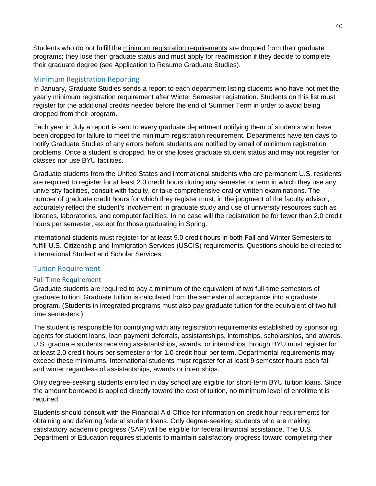Students who do not fulfill the minimum registration requirements are dropped from their graduate programs; they lose their graduate status and must apply for readmission if they decide to complete their graduate degree (see Application to Resume Graduate Studies).

# <span id="page-40-0"></span>Minimum Registration Reporting

In January, Graduate Studies sends a report to each department listing students who have not met the yearly minimum registration requirement after Winter Semester registration. Students on this list must register for the additional credits needed before the end of Summer Term in order to avoid being dropped from their program.

Each year in July a report is sent to every graduate department notifying them of students who have been dropped for failure to meet the minimum registration requirement. Departments have ten days to notify Graduate Studies of any errors before students are notified by email of minimum registration problems. Once a student is dropped, he or she loses graduate student status and may not register for classes nor use BYU facilities.

Graduate students from the United States and international students who are permanent U.S. residents are required to register for at least 2.0 credit hours during any semester or term in which they use any university facilities, consult with faculty, or take comprehensive oral or written examinations. The number of graduate credit hours for which they register must, in the judgment of the faculty advisor, accurately reflect the student's involvement in graduate study and use of university resources such as libraries, laboratories, and computer facilities. In no case will the registration be for fewer than 2.0 credit hours per semester, except for those graduating in Spring.

International students must register for at least 9.0 credit hours in both Fall and Winter Semesters to fulfill U.S. Citizenship and Immigration Services (USCIS) requirements. Questions should be directed to International Student and Scholar Services.

#### <span id="page-40-1"></span>Tuition Requirement

#### <span id="page-40-2"></span>Full Time Requirement

Graduate students are required to pay a minimum of the equivalent of two full-time semesters of graduate tuition. Graduate tuition is calculated from the semester of acceptance into a graduate program. (Students in integrated programs must also pay graduate tuition for the equivalent of two fulltime semesters.)

The student is responsible for complying with any registration requirements established by sponsoring agents for student loans, loan payment deferrals, assistantships, internships, scholarships, and awards. U.S. graduate students receiving assistantships, awards, or internships through BYU must register for at least 2.0 credit hours per semester or for 1.0 credit hour per term. Departmental requirements may exceed these minimums. International students must register for at least 9 semester hours each fall and winter regardless of assistantships, awards or internships.

Only degree-seeking students enrolled in day school are eligible for short-term BYU tuition loans. Since the amount borrowed is applied directly toward the cost of tuition, no minimum level of enrollment is required.

Students should consult with the Financial Aid Office for information on credit hour requirements for obtaining and deferring federal student loans. Only degree-seeking students who are making satisfactory academic progress (SAP) will be eligible for federal financial assistance. The U.S. Department of Education requires students to maintain satisfactory progress toward completing their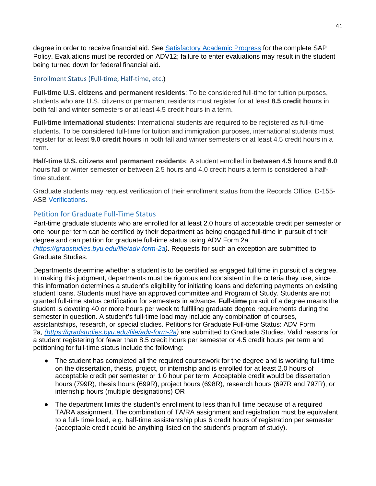degree in order to receive financial aid. See [Satisfactory Academic Progress](https://enrollment.byu.edu/financialaid/satisfactory-academic-progress) for the complete SAP Policy. Evaluations must be recorded on ADV12; failure to enter evaluations may result in the student being turned down for federal financial aid.

# Enrollment Status (Full-time, Half-time, etc.)

**Full-time U.S. citizens and permanent residents**: To be considered full-time for tuition purposes, students who are U.S. citizens or permanent residents must register for at least **8.5 credit hours** in both fall and winter semesters or at least 4.5 credit hours in a term.

**Full-time international students**: International students are required to be registered as full-time students. To be considered full-time for tuition and immigration purposes, international students must register for at least **9.0 credit hours** in both fall and winter semesters or at least 4.5 credit hours in a term.

**Half-time U.S. citizens and permanent residents**: A student enrolled in **between 4.5 hours and 8.0** hours fall or winter semester or between 2.5 hours and 4.0 credit hours a term is considered a halftime student.

Graduate students may request verification of their enrollment status from the Records Office, D-155- ASB [Verifications.](https://enrollment.byu.edu/registrar/verifications)

# <span id="page-41-0"></span>Petition for Graduate Full-Time Status

Part-time graduate students who are enrolled for at least 2.0 hours of acceptable credit per semester or one hour per term can be certified by their department as being engaged full-time in pursuit of their degree and can petition for graduate full-time status using ADV Form 2a *[\(https://gradstudies.byu.edu/file/adv-form-2a\)](https://gradstudies.byu.edu/file/adv-form-2a)*. Requests for such an exception are submitted to Graduate Studies.

Departments determine whether a student is to be certified as engaged full time in pursuit of a degree. In making this judgment, departments must be rigorous and consistent in the criteria they use, since this information determines a student's eligibility for initiating loans and deferring payments on existing student loans. Students must have an approved committee and Program of Study. Students are not granted full-time status certification for semesters in advance. **Full-time** pursuit of a degree means the student is devoting 40 or more hours per week to fulfilling graduate degree requirements during the semester in question. A student's full-time load may include any combination of courses, assistantships, research, or special studies. Petitions for Graduate Full-time Status: ADV Form 2a, *[\(https://gradstudies.byu.edu/file/adv-form-2a\)](https://gradstudies.byu.edu/file/adv-form-2a)* are submitted to Graduate Studies. Valid reasons for a student registering for fewer than 8.5 credit hours per semester or 4.5 credit hours per term and petitioning for full-time status include the following:

- The student has completed all the required coursework for the degree and is working full-time on the dissertation, thesis, project, or internship and is enrolled for at least 2.0 hours of acceptable credit per semester or 1.0 hour per term. Acceptable credit would be dissertation hours (799R), thesis hours (699R), project hours (698R), research hours (697R and 797R), or internship hours (multiple designations) OR
- The department limits the student's enrollment to less than full time because of a required TA/RA assignment. The combination of TA/RA assignment and registration must be equivalent to a full- time load, e.g. half-time assistantship plus 6 credit hours of registration per semester (acceptable credit could be anything listed on the student's program of study).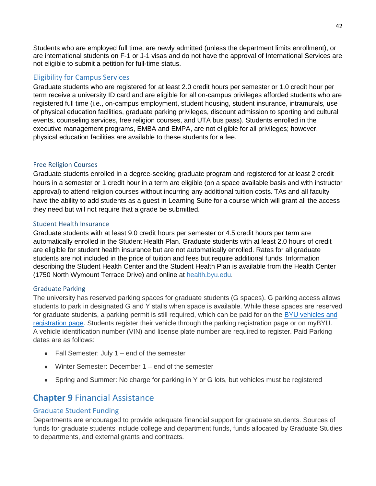Students who are employed full time, are newly admitted (unless the department limits enrollment), or are international students on F-1 or J-1 visas and do not have the approval of International Services are not eligible to submit a petition for full-time status.

# <span id="page-42-0"></span>Eligibility for Campus Services

Graduate students who are registered for at least 2.0 credit hours per semester or 1.0 credit hour per term receive a university ID card and are eligible for all on-campus privileges afforded students who are registered full time (i.e., on-campus employment, student housing, student insurance, intramurals, use of physical education facilities, graduate parking privileges, discount admission to sporting and cultural events, counseling services, free religion courses, and UTA bus pass). Students enrolled in the executive management programs, EMBA and EMPA, are not eligible for all privileges; however, physical education facilities are available to these students for a fee.

# <span id="page-42-1"></span>Free Religion Courses

Graduate students enrolled in a degree-seeking graduate program and registered for at least 2 credit hours in a semester or 1 credit hour in a term are eligible (on a space available basis and with instructor approval) to attend religion courses without incurring any additional tuition costs. TAs and all faculty have the ability to add students as a guest in Learning Suite for a course which will grant all the access they need but will not require that a grade be submitted.

# <span id="page-42-2"></span>Student Health Insurance

Graduate students with at least 9.0 credit hours per semester or 4.5 credit hours per term are automatically enrolled in the Student Health Plan. Graduate students with at least 2.0 hours of credit are eligible for student health insurance but are not automatically enrolled. Rates for all graduate students are not included in the price of tuition and fees but require additional funds. Information describing the Student Health Center and the Student Health Plan is available from the Health Center (1750 North Wymount Terrace Drive) and online at [health.byu.edu.](http://health.byu.edu/)

#### <span id="page-42-3"></span>Graduate Parking

The university has reserved parking spaces for graduate students (G spaces). G parking access allows students to park in designated G and Y stalls when space is available. While these spaces are reserved for graduate students, a parking permit is still required, which can be paid for on the [BYU vehicles and](https://cars.byu.edu/vehicles)  [registration page.](https://cars.byu.edu/vehicles) Students register their vehicle through the parking registration page or on myBYU. A vehicle identification number (VIN) and license plate number are required to register. Paid Parking dates are as follows:

- $\bullet$  Fall Semester: July 1 end of the semester
- Winter Semester: December 1 end of the semester
- Spring and Summer: No charge for parking in Y or G lots, but vehicles must be registered

# <span id="page-42-4"></span>**Chapter 9** Financial Assistance

# <span id="page-42-5"></span>Graduate Student Funding

Departments are encouraged to provide adequate financial support for graduate students. Sources of funds for graduate students include college and department funds, funds allocated by Graduate Studies to departments, and external grants and contracts.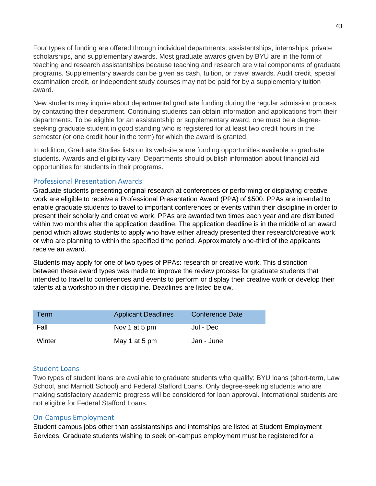Four types of funding are offered through individual departments: assistantships, internships, private scholarships, and supplementary awards. Most graduate awards given by BYU are in the form of teaching and research assistantships because teaching and research are vital components of graduate programs. Supplementary awards can be given as cash, tuition, or travel awards. Audit credit, special examination credit, or independent study courses may not be paid for by a supplementary tuition award.

New students may inquire about departmental graduate funding during the regular admission process by contacting their department. Continuing students can obtain information and applications from their departments. To be eligible for an assistantship or supplementary award, one must be a degreeseeking graduate student in good standing who is registered for at least two credit hours in the semester (or one credit hour in the term) for which the award is granted.

In addition, Graduate Studies lists on its website some funding opportunities available to graduate students. Awards and eligibility vary. Departments should publish information about financial aid opportunities for students in their programs.

#### <span id="page-43-0"></span>Professional Presentation Awards

Graduate students presenting original research at conferences or performing or displaying creative work are eligible to receive a Professional Presentation Award (PPA) of \$500. PPAs are intended to enable graduate students to travel to important conferences or events within their discipline in order to present their scholarly and creative work. PPAs are awarded two times each year and are distributed within two months after the application deadline. The application deadline is in the middle of an award period which allows students to apply who have either already presented their research/creative work or who are planning to within the specified time period. Approximately one-third of the applicants receive an award.

Students may apply for one of two types of PPAs: research or creative work. This distinction between these award types was made to improve the review process for graduate students that intended to travel to conferences and events to perform or display their creative work or develop their talents at a workshop in their discipline. Deadlines are listed below.

| Term   | <b>Applicant Deadlines</b> | Conference Date |
|--------|----------------------------|-----------------|
| Fall   | Nov 1 at 5 pm              | Jul - Dec       |
| Winter | May 1 at 5 pm              | Jan - June      |

#### <span id="page-43-1"></span>Student Loans

Two types of student loans are available to graduate students who qualify: BYU loans (short-term, Law School, and Marriott School) and Federal Stafford Loans. Only degree-seeking students who are making satisfactory academic progress will be considered for loan approval. International students are not eligible for Federal Stafford Loans.

# <span id="page-43-2"></span>On-Campus Employment

Student campus jobs other than assistantships and internships are listed at Student Employment Services. Graduate students wishing to seek on-campus employment must be registered for a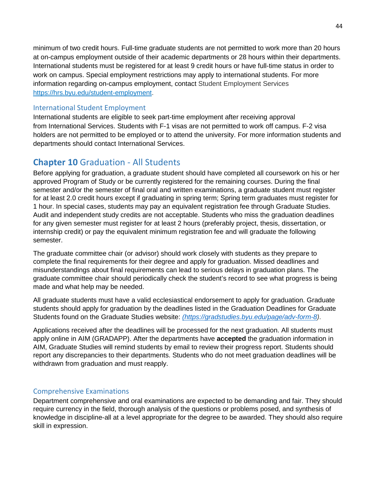minimum of two credit hours. Full-time graduate students are not permitted to work more than 20 hours at on-campus employment outside of their academic departments or 28 hours within their departments. International students must be registered for at least 9 credit hours or have full-time status in order to work on campus. Special employment restrictions may apply to international students. For more information regarding on-campus employment, contact Student Employment Services [https://hrs.byu.edu/student-employment.](https://hrs.byu.edu/student-employment)

# <span id="page-44-0"></span>International Student Employment

International students are eligible to seek part-time employment after receiving approval from International Services. Students with F-1 visas are not permitted to work off campus. F-2 visa holders are not permitted to be employed or to attend the university. For more information students and departments should contact International Services.

# <span id="page-44-1"></span>**Chapter 10** Graduation - All Students

Before applying for graduation, a graduate student should have completed all coursework on his or her approved Program of Study or be currently registered for the remaining courses. During the final semester and/or the semester of final oral and written examinations, a graduate student must register for at least 2.0 credit hours except if graduating in spring term; Spring term graduates must register for 1 hour. In special cases, students may pay an equivalent registration fee through Graduate Studies. Audit and independent study credits are not acceptable. Students who miss the graduation deadlines for any given semester must register for at least 2 hours (preferably project, thesis, dissertation, or internship credit) or pay the equivalent minimum registration fee and will graduate the following semester.

The graduate committee chair (or advisor) should work closely with students as they prepare to complete the final requirements for their degree and apply for graduation. Missed deadlines and misunderstandings about final requirements can lead to serious delays in graduation plans. The graduate committee chair should periodically check the student's record to see what progress is being made and what help may be needed.

All graduate students must have a valid ecclesiastical endorsement to apply for graduation. Graduate students should apply for graduation by the deadlines listed in the Graduation Deadlines for Graduate Students found on the Graduate Studies website: *[\(https://gradstudies.byu.edu/page/adv-form-8\)](https://gradstudies.byu.edu/page/adv-form-8)*.

Applications received after the deadlines will be processed for the next graduation. All students must apply online in AIM (GRADAPP). After the departments have **accepted** the graduation information in AIM, Graduate Studies will remind students by email to review their progress report. Students should report any discrepancies to their departments. Students who do not meet graduation deadlines will be withdrawn from graduation and must reapply.

# <span id="page-44-2"></span>Comprehensive Examinations

Department comprehensive and oral examinations are expected to be demanding and fair. They should require currency in the field, thorough analysis of the questions or problems posed, and synthesis of knowledge in discipline-all at a level appropriate for the degree to be awarded. They should also require skill in expression.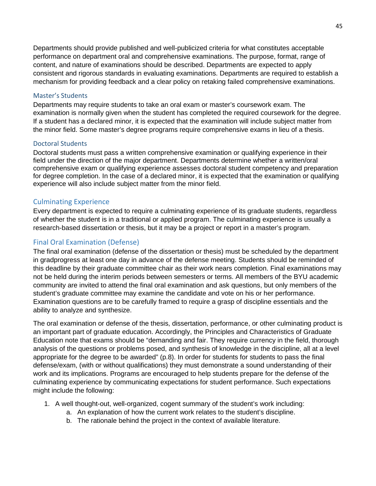Departments should provide published and well-publicized criteria for what constitutes acceptable performance on department oral and comprehensive examinations. The purpose, format, range of content, and nature of examinations should be described. Departments are expected to apply consistent and rigorous standards in evaluating examinations. Departments are required to establish a mechanism for providing feedback and a clear policy on retaking failed comprehensive examinations.

#### <span id="page-45-0"></span>Master's Students

Departments may require students to take an oral exam or master's coursework exam. The examination is normally given when the student has completed the required coursework for the degree. If a student has a declared minor, it is expected that the examination will include subject matter from the minor field. Some master's degree programs require comprehensive exams in lieu of a thesis.

#### <span id="page-45-1"></span>Doctoral Students

Doctoral students must pass a written comprehensive examination or qualifying experience in their field under the direction of the major department. Departments determine whether a written/oral comprehensive exam or qualifying experience assesses doctoral student competency and preparation for degree completion. In the case of a declared minor, it is expected that the examination or qualifying experience will also include subject matter from the minor field.

#### <span id="page-45-2"></span>Culminating Experience

Every department is expected to require a culminating experience of its graduate students, regardless of whether the student is in a traditional or applied program. The culminating experience is usually a research-based dissertation or thesis, but it may be a project or report in a master's program.

# <span id="page-45-3"></span>Final Oral Examination (Defense)

The final oral examination (defense of the dissertation or thesis) must be scheduled by the department in gradprogress at least one day in advance of the defense meeting. Students should be reminded of this deadline by their graduate committee chair as their work nears completion. Final examinations may not be held during the interim periods between semesters or terms. All members of the BYU academic community are invited to attend the final oral examination and ask questions, but only members of the student's graduate committee may examine the candidate and vote on his or her performance. Examination questions are to be carefully framed to require a grasp of discipline essentials and the ability to analyze and synthesize.

The oral examination or defense of the thesis, dissertation, performance, or other culminating product is an important part of graduate education. Accordingly, the Principles and Characteristics of Graduate Education note that exams should be "demanding and fair. They require currency in the field, thorough analysis of the questions or problems posed, and synthesis of knowledge in the discipline, all at a level appropriate for the degree to be awarded" (p.8). In order for students for students to pass the final defense/exam, (with or without qualifications) they must demonstrate a sound understanding of their work and its implications. Programs are encouraged to help students prepare for the defense of the culminating experience by communicating expectations for student performance. Such expectations might include the following:

- 1. A well thought-out, well-organized, cogent summary of the student's work including:
	- a. An explanation of how the current work relates to the student's discipline.
		- b. The rationale behind the project in the context of available literature.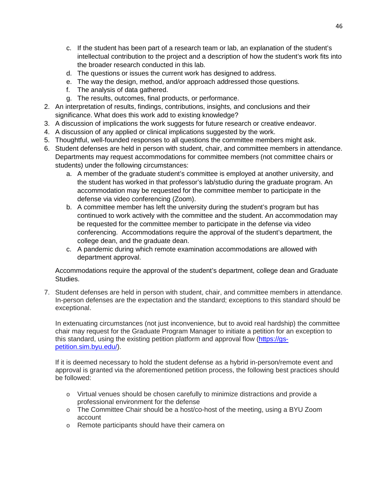- c. If the student has been part of a research team or lab, an explanation of the student's intellectual contribution to the project and a description of how the student's work fits into the broader research conducted in this lab.
- d. The questions or issues the current work has designed to address.
- e. The way the design, method, and/or approach addressed those questions.
- f. The analysis of data gathered.
- g. The results, outcomes, final products, or performance.
- 2. An interpretation of results, findings, contributions, insights, and conclusions and their significance. What does this work add to existing knowledge?
- 3. A discussion of implications the work suggests for future research or creative endeavor.
- 4. A discussion of any applied or clinical implications suggested by the work.
- 5. Thoughtful, well-founded responses to all questions the committee members might ask.
- 6. Student defenses are held in person with student, chair, and committee members in attendance. Departments may request accommodations for committee members (not committee chairs or students) under the following circumstances:
	- a. A member of the graduate student's committee is employed at another university, and the student has worked in that professor's lab/studio during the graduate program. An accommodation may be requested for the committee member to participate in the defense via video conferencing (Zoom).
	- b. A committee member has left the university during the student's program but has continued to work actively with the committee and the student. An accommodation may be requested for the committee member to participate in the defense via video conferencing. Accommodations require the approval of the student's department, the college dean, and the graduate dean.
	- c. A pandemic during which remote examination accommodations are allowed with department approval.

Accommodations require the approval of the student's department, college dean and Graduate Studies.

7. Student defenses are held in person with student, chair, and committee members in attendance. In-person defenses are the expectation and the standard; exceptions to this standard should be exceptional.

In extenuating circumstances (not just inconvenience, but to avoid real hardship) the committee chair may request for the Graduate Program Manager to initiate a petition for an exception to this standard, using the existing petition platform and approval flow [\(https://gs](https://gs-petition.sim.byu.edu/)[petition.sim.byu.edu/\)](https://gs-petition.sim.byu.edu/).

If it is deemed necessary to hold the student defense as a hybrid in-person/remote event and approval is granted via the aforementioned petition process, the following best practices should be followed:

- o Virtual venues should be chosen carefully to minimize distractions and provide a professional environment for the defense
- o The Committee Chair should be a host/co-host of the meeting, using a BYU Zoom account
- o Remote participants should have their camera on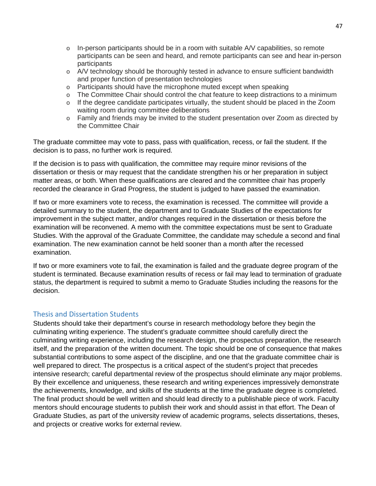- $\circ$  In-person participants should be in a room with suitable A/V capabilities, so remote participants can be seen and heard, and remote participants can see and hear in-person participants
- o A/V technology should be thoroughly tested in advance to ensure sufficient bandwidth and proper function of presentation technologies
- o Participants should have the microphone muted except when speaking
- o The Committee Chair should control the chat feature to keep distractions to a minimum
- $\circ$  If the degree candidate participates virtually, the student should be placed in the Zoom waiting room during committee deliberations
- o Family and friends may be invited to the student presentation over Zoom as directed by the Committee Chair

The graduate committee may vote to pass, pass with qualification, recess, or fail the student. If the decision is to pass, no further work is required.

If the decision is to pass with qualification, the committee may require minor revisions of the dissertation or thesis or may request that the candidate strengthen his or her preparation in subject matter areas, or both. When these qualifications are cleared and the committee chair has properly recorded the clearance in Grad Progress, the student is judged to have passed the examination.

If two or more examiners vote to recess, the examination is recessed. The committee will provide a detailed summary to the student, the department and to Graduate Studies of the expectations for improvement in the subject matter, and/or changes required in the dissertation or thesis before the examination will be reconvened. A memo with the committee expectations must be sent to Graduate Studies. With the approval of the Graduate Committee, the candidate may schedule a second and final examination. The new examination cannot be held sooner than a month after the recessed examination.

If two or more examiners vote to fail, the examination is failed and the graduate degree program of the student is terminated. Because examination results of recess or fail may lead to termination of graduate status, the department is required to submit a memo to Graduate Studies including the reasons for the decision.

#### <span id="page-47-0"></span>Thesis and Dissertation Students

Students should take their department's course in research methodology before they begin the culminating writing experience. The student's graduate committee should carefully direct the culminating writing experience, including the research design, the prospectus preparation, the research itself, and the preparation of the written document. The topic should be one of consequence that makes substantial contributions to some aspect of the discipline, and one that the graduate committee chair is well prepared to direct. The prospectus is a critical aspect of the student's project that precedes intensive research; careful departmental review of the prospectus should eliminate any major problems. By their excellence and uniqueness, these research and writing experiences impressively demonstrate the achievements, knowledge, and skills of the students at the time the graduate degree is completed. The final product should be well written and should lead directly to a publishable piece of work. Faculty mentors should encourage students to publish their work and should assist in that effort. The Dean of Graduate Studies, as part of the university review of academic programs, selects dissertations, theses, and projects or creative works for external review.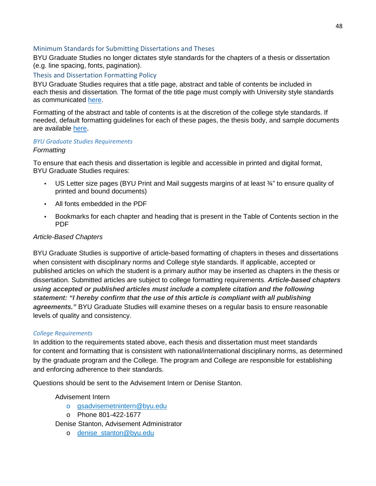#### <span id="page-48-0"></span>Minimum Standards for Submitting Dissertations and Theses

BYU Graduate Studies no longer dictates style standards for the chapters of a thesis or dissertation (e.g. line spacing, fonts, pagination).

#### <span id="page-48-1"></span>Thesis and Dissertation Formatting Policy

BYU Graduate Studies requires that a title page, abstract and table of contents be included in each thesis and dissertation. The format of the title page must comply with University style standards as communicated [here.](https://gradstudies.byu.edu/file/adv-form-11a)

Formatting of the abstract and table of contents is at the discretion of the college style standards. If needed, default formatting guidelines for each of these pages, the thesis body, and sample documents are available [here.](https://gradstudies.byu.edu/file/adv-form-11c)

#### <span id="page-48-2"></span>*BYU Graduate Studies Requirements*

#### *Formatting*

To ensure that each thesis and dissertation is legible and accessible in printed and digital format, BYU Graduate Studies requires:

- US Letter size pages (BYU Print and Mail suggests margins of at least  $\frac{3}{4}$ " to ensure quality of printed and bound documents)
- All fonts embedded in the PDF
- Bookmarks for each chapter and heading that is present in the Table of Contents section in the PDF

#### *Article-Based Chapters*

BYU Graduate Studies is supportive of article-based formatting of chapters in theses and dissertations when consistent with disciplinary norms and College style standards. If applicable, accepted or published articles on which the student is a primary author may be inserted as chapters in the thesis or dissertation. Submitted articles are subject to college formatting requirements. *Article-based chapters using accepted or published articles must include a complete citation and the following statement: "I hereby confirm that the use of this article is compliant with all publishing agreements."* BYU Graduate Studies will examine theses on a regular basis to ensure reasonable levels of quality and consistency.

#### <span id="page-48-3"></span>*College Requirements*

In addition to the requirements stated above, each thesis and dissertation must meet standards for content and formatting that is consistent with national/international disciplinary norms, as determined by the graduate program and the College. The program and College are responsible for establishing and enforcing adherence to their standards.

Questions should be sent to the Advisement Intern or Denise Stanton.

#### Advisement Intern

- o [gsadvisemetnintern@byu.edu](mailto:gsadvisemetnintern@byu.edu)
- o Phone 801-422-1677

Denise Stanton, Advisement Administrator

o [denise\\_stanton@byu.edu](mailto:denise_stanton@byu.edu)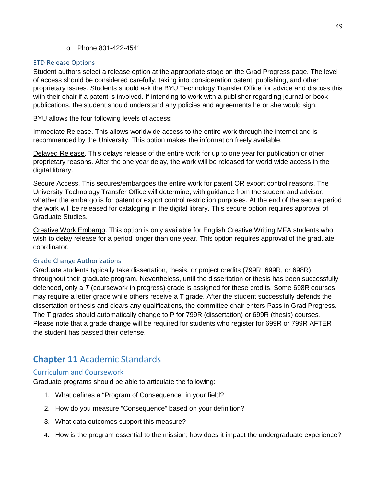o Phone 801-422-4541

# <span id="page-49-0"></span>ETD Release Options

Student authors select a release option at the appropriate stage on the Grad Progress page. The level of access should be considered carefully, taking into consideration patent, publishing, and other proprietary issues. Students should ask the BYU Technology Transfer Office for advice and discuss this with their chair if a patent is involved. If intending to work with a publisher regarding journal or book publications, the student should understand any policies and agreements he or she would sign.

BYU allows the four following levels of access:

Immediate Release. This allows worldwide access to the entire work through the internet and is recommended by the University. This option makes the information freely available.

Delayed Release. This delays release of the entire work for up to one year for publication or other proprietary reasons. After the one year delay, the work will be released for world wide access in the digital library.

Secure Access. This secures/embargoes the entire work for patent OR export control reasons. The University Technology Transfer Office will determine, with guidance from the student and advisor, whether the embargo is for patent or export control restriction purposes. At the end of the secure period the work will be released for cataloging in the digital library. This secure option requires approval of Graduate Studies.

Creative Work Embargo. This option is only available for English Creative Writing MFA students who wish to delay release for a period longer than one year. This option requires approval of the graduate coordinator.

#### <span id="page-49-1"></span>Grade Change Authorizations

Graduate students typically take dissertation, thesis, or project credits (799R, 699R, or 698R) throughout their graduate program. Nevertheless, until the dissertation or thesis has been successfully defended, only a *T* (coursework in progress) grade is assigned for these credits. Some 698R courses may require a letter grade while others receive a T grade. After the student successfully defends the dissertation or thesis and clears any qualifications, the committee chair enters Pass in Grad Progress. The T grades should automatically change to P for 799R (dissertation) or 699R (thesis) courses. Please note that a grade change will be required for students who register for 699R or 799R AFTER the student has passed their defense.

# <span id="page-49-2"></span>**Chapter 11** Academic Standards

# <span id="page-49-3"></span>Curriculum and Coursework

Graduate programs should be able to articulate the following:

- 1. What defines a "Program of Consequence" in your field?
- 2. How do you measure "Consequence" based on your definition?
- 3. What data outcomes support this measure?
- 4. How is the program essential to the mission; how does it impact the undergraduate experience?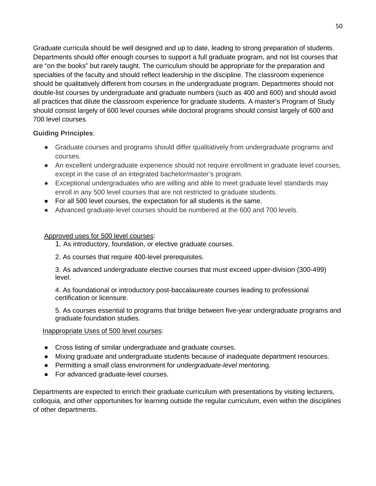Graduate curricula should be well designed and up to date, leading to strong preparation of students. Departments should offer enough courses to support a full graduate program, and not list courses that are "on the books" but rarely taught. The curriculum should be appropriate for the preparation and specialties of the faculty and should reflect leadership in the discipline. The classroom experience should be qualitatively different from courses in the undergraduate program. Departments should not double-list courses by undergraduate and graduate numbers (such as 400 and 600) and should avoid all practices that dilute the classroom experience for graduate students. A master's Program of Study should consist largely of 600 level courses while doctoral programs should consist largely of 600 and 700 level courses.

# **Guiding Principles**:

- Graduate courses and programs should differ qualitatively from undergraduate programs and courses.
- An excellent undergraduate experience should not require enrollment in graduate level courses, except in the case of an integrated bachelor/master's program.
- Exceptional undergraduates who are willing and able to meet graduate level standards may enroll in any 500 level courses that are not restricted to graduate students.
- For all 500 level courses, the expectation for all students is the same.
- Advanced graduate-level courses should be numbered at the 600 and 700 levels.

#### Approved uses for 500 level courses:

1. As introductory, foundation, or elective graduate courses.

2. As courses that require 400-level prerequisites.

3. As advanced undergraduate elective courses that must exceed upper-division (300-499) level.

4. As foundational or introductory post-baccalaureate courses leading to professional certification or licensure.

5. As courses essential to programs that bridge between five-year undergraduate programs and graduate foundation studies.

#### Inappropriate Uses of 500 level courses:

- Cross listing of similar undergraduate and graduate courses.
- Mixing graduate and undergraduate students because of inadequate department resources.
- Permitting a small class environment for *undergraduate-level* mentoring.
- For advanced graduate-level courses.

Departments are expected to enrich their graduate curriculum with presentations by visiting lecturers, colloquia, and other opportunities for learning outside the regular curriculum, even within the disciplines of other departments.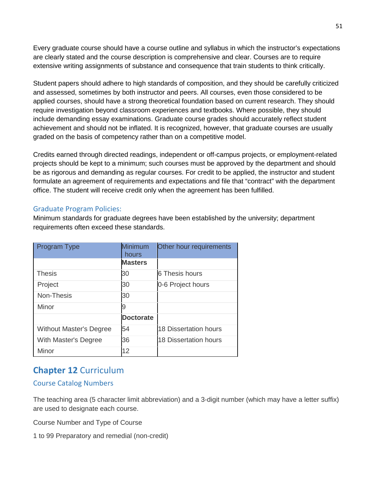Every graduate course should have a course outline and syllabus in which the instructor's expectations are clearly stated and the course description is comprehensive and clear. Courses are to require extensive writing assignments of substance and consequence that train students to think critically.

Student papers should adhere to high standards of composition, and they should be carefully criticized and assessed, sometimes by both instructor and peers. All courses, even those considered to be applied courses, should have a strong theoretical foundation based on current research. They should require investigation beyond classroom experiences and textbooks. Where possible, they should include demanding essay examinations. Graduate course grades should accurately reflect student achievement and should not be inflated. It is recognized, however, that graduate courses are usually graded on the basis of competency rather than on a competitive model.

Credits earned through directed readings, independent or off-campus projects, or employment-related projects should be kept to a minimum; such courses must be approved by the department and should be as rigorous and demanding as regular courses. For credit to be applied, the instructor and student formulate an agreement of requirements and expectations and file that "contract" with the department office. The student will receive credit only when the agreement has been fulfilled.

# <span id="page-51-0"></span>Graduate Program Policies:

Minimum standards for graduate degrees have been established by the university; department requirements often exceed these standards.

| <b>Program Type</b>            | Minimum<br>hours | Other hour requirements |
|--------------------------------|------------------|-------------------------|
|                                | <b>Masters</b>   |                         |
| <b>Thesis</b>                  | 30               | 6 Thesis hours          |
| Project                        | 30               | 0-6 Project hours       |
| Non-Thesis                     | 30               |                         |
| Minor                          | 9                |                         |
|                                | <b>Doctorate</b> |                         |
| <b>Without Master's Degree</b> | 54               | 18 Dissertation hours   |
| With Master's Degree           | 36               | 18 Dissertation hours   |
| Minor                          | 12               |                         |

# <span id="page-51-1"></span>**Chapter 12** Curriculum

# <span id="page-51-2"></span>Course Catalog Numbers

The teaching area (5 character limit abbreviation) and a 3-digit number (which may have a letter suffix) are used to designate each course.

Course Number and Type of Course

1 to 99 Preparatory and remedial (non-credit)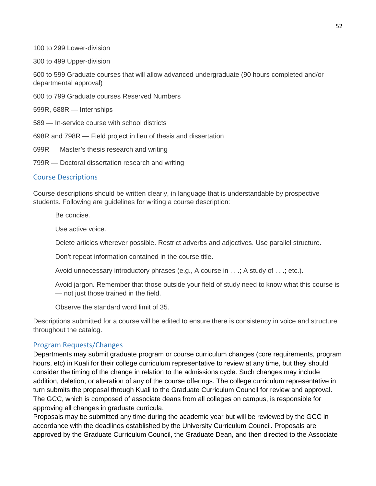100 to 299 Lower-division

300 to 499 Upper-division

500 to 599 Graduate courses that will allow advanced undergraduate (90 hours completed and/or departmental approval)

600 to 799 Graduate courses Reserved Numbers

599R, 688R — Internships

589 — In-service course with school districts

698R and 798R — Field project in lieu of thesis and dissertation

699R — Master's thesis research and writing

799R — Doctoral dissertation research and writing

#### <span id="page-52-0"></span>Course Descriptions

Course descriptions should be written clearly, in language that is understandable by prospective students. Following are guidelines for writing a course description:

Be concise.

Use active voice.

Delete articles wherever possible. Restrict adverbs and adjectives. Use parallel structure.

Don't repeat information contained in the course title.

Avoid unnecessary introductory phrases (e.g., A course in . . .; A study of . . .; etc.).

Avoid jargon. Remember that those outside your field of study need to know what this course is — not just those trained in the field.

Observe the standard word limit of 35.

Descriptions submitted for a course will be edited to ensure there is consistency in voice and structure throughout the catalog.

#### <span id="page-52-1"></span>Program Requests/Changes

Departments may submit graduate program or course curriculum changes (core requirements, program hours, etc) in Kuali for their college curriculum representative to review at any time, but they should consider the timing of the change in relation to the admissions cycle. Such changes may include addition, deletion, or alteration of any of the course offerings. The college curriculum representative in turn submits the proposal through Kuali to the Graduate Curriculum Council for review and approval. The GCC, which is composed of associate deans from all colleges on campus, is responsible for approving all changes in graduate curricula.

Proposals may be submitted any time during the academic year but will be reviewed by the GCC in accordance with the deadlines established by the University Curriculum Council. Proposals are approved by the Graduate Curriculum Council, the Graduate Dean, and then directed to the Associate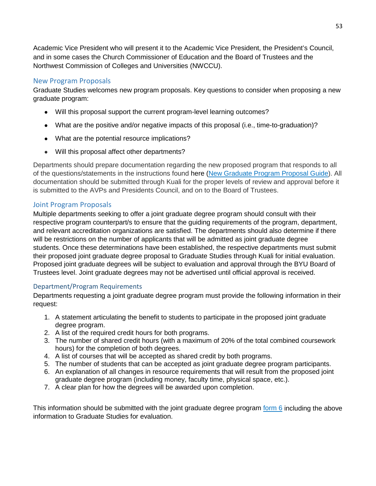Academic Vice President who will present it to the Academic Vice President, the President's Council, and in some cases the Church Commissioner of Education and the Board of Trustees and the Northwest Commission of Colleges and Universities (NWCCU).

# <span id="page-53-0"></span>New Program Proposals

Graduate Studies welcomes new program proposals. Key questions to consider when proposing a new graduate program:

- Will this proposal support the current program-level learning outcomes?
- What are the positive and/or negative impacts of this proposal (i.e., time-to-graduation)?
- What are the potential resource implications?
- Will this proposal affect other departments?

Departments should prepare documentation regarding the new proposed program that responds to all of the questions/statements in the instructions found here [\(New Graduate Program Proposal Guide\)](https://gradstudies.byu.edu/page/new-graduate-program-proposal-guide). All documentation should be submitted through Kuali for the proper levels of review and approval before it is submitted to the AVPs and Presidents Council, and on to the Board of Trustees.

# <span id="page-53-1"></span>Joint Program Proposals

Multiple departments seeking to offer a joint graduate degree program should consult with their respective program counterpart/s to ensure that the guiding requirements of the program, department, and relevant accreditation organizations are satisfied. The departments should also determine if there will be restrictions on the number of applicants that will be admitted as joint graduate degree students. Once these determinations have been established, the respective departments must submit their proposed joint graduate degree proposal to Graduate Studies through Kuali for initial evaluation. Proposed joint graduate degrees will be subject to evaluation and approval through the BYU Board of Trustees level. Joint graduate degrees may not be advertised until official approval is received.

# <span id="page-53-2"></span>Department/Program Requirements

Departments requesting a joint graduate degree program must provide the following information in their request:

- 1. A statement articulating the benefit to students to participate in the proposed joint graduate degree program.
- 2. A list of the required credit hours for both programs.
- 3. The number of shared credit hours (with a maximum of 20% of the total combined coursework hours) for the completion of both degrees.
- 4. A list of courses that will be accepted as shared credit by both programs.
- 5. The number of students that can be accepted as joint graduate degree program participants.
- 6. An explanation of all changes in resource requirements that will result from the proposed joint graduate degree program (including money, faculty time, physical space, etc.).
- 7. A clear plan for how the degrees will be awarded upon completion.

This information should be submitted with the joint graduate degree program form  $6$  including the above information to Graduate Studies for evaluation.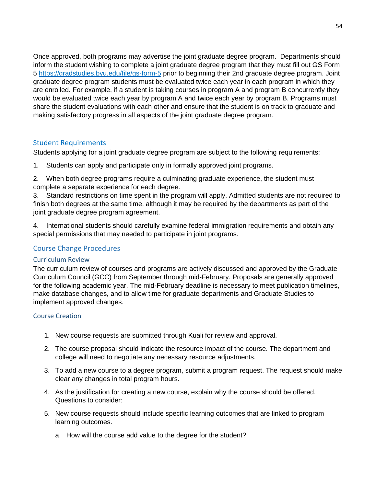Once approved, both programs may advertise the joint graduate degree program. Departments should inform the student wishing to complete a joint graduate degree program that they must fill out GS Form 5 <https://gradstudies.byu.edu/file/gs-form-5> prior to beginning their 2nd graduate degree program. Joint graduate degree program students must be evaluated twice each year in each program in which they are enrolled. For example, if a student is taking courses in program A and program B concurrently they would be evaluated twice each year by program A and twice each year by program B. Programs must share the student evaluations with each other and ensure that the student is on track to graduate and making satisfactory progress in all aspects of the joint graduate degree program.

# <span id="page-54-0"></span>Student Requirements

Students applying for a joint graduate degree program are subject to the following requirements:

- 1. Students can apply and participate only in formally approved joint programs.
- 2. When both degree programs require a culminating graduate experience, the student must complete a separate experience for each degree.

3. Standard restrictions on time spent in the program will apply. Admitted students are not required to finish both degrees at the same time, although it may be required by the departments as part of the joint graduate degree program agreement.

4. International students should carefully examine federal immigration requirements and obtain any special permissions that may needed to participate in joint programs.

# <span id="page-54-1"></span>Course Change Procedures

# <span id="page-54-2"></span>Curriculum Review

The curriculum review of courses and programs are actively discussed and approved by the Graduate Curriculum Council (GCC) from September through mid-February. Proposals are generally approved for the following academic year. The mid-February deadline is necessary to meet publication timelines, make database changes, and to allow time for graduate departments and Graduate Studies to implement approved changes.

#### <span id="page-54-3"></span>Course Creation

- 1. New course requests are submitted through Kuali for review and approval.
- 2. The course proposal should indicate the resource impact of the course. The department and college will need to negotiate any necessary resource adjustments.
- 3. To add a new course to a degree program, submit a program request. The request should make clear any changes in total program hours.
- 4. As the justification for creating a new course, explain why the course should be offered. Questions to consider:
- 5. New course requests should include specific learning outcomes that are linked to program learning outcomes.
	- a. How will the course add value to the degree for the student?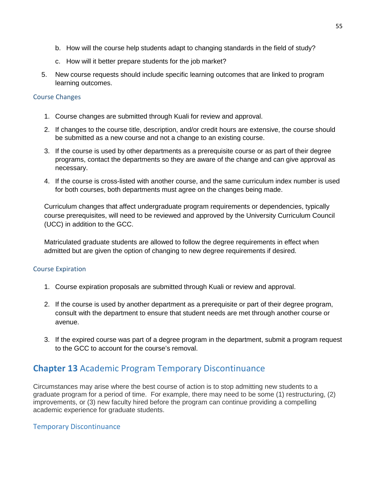- b. How will the course help students adapt to changing standards in the field of study?
- c. How will it better prepare students for the job market?
- 5. New course requests should include specific learning outcomes that are linked to program learning outcomes.

#### <span id="page-55-0"></span>Course Changes

- 1. Course changes are submitted through Kuali for review and approval.
- 2. If changes to the course title, description, and/or credit hours are extensive, the course should be submitted as a new course and not a change to an existing course.
- 3. If the course is used by other departments as a prerequisite course or as part of their degree programs, contact the departments so they are aware of the change and can give approval as necessary.
- 4. If the course is cross-listed with another course, and the same curriculum index number is used for both courses, both departments must agree on the changes being made.

Curriculum changes that affect undergraduate program requirements or dependencies, typically course prerequisites, will need to be reviewed and approved by the University Curriculum Council (UCC) in addition to the GCC.

Matriculated graduate students are allowed to follow the degree requirements in effect when admitted but are given the option of changing to new degree requirements if desired.

# <span id="page-55-1"></span>Course Expiration

- 1. Course expiration proposals are submitted through Kuali or review and approval.
- 2. If the course is used by another department as a prerequisite or part of their degree program, consult with the department to ensure that student needs are met through another course or avenue.
- 3. If the expired course was part of a degree program in the department, submit a program request to the GCC to account for the course's removal.

# <span id="page-55-2"></span>**Chapter 13** Academic Program Temporary Discontinuance

Circumstances may arise where the best course of action is to stop admitting new students to a graduate program for a period of time. For example, there may need to be some (1) restructuring, (2) improvements, or (3) new faculty hired before the program can continue providing a compelling academic experience for graduate students.

# Temporary Discontinuance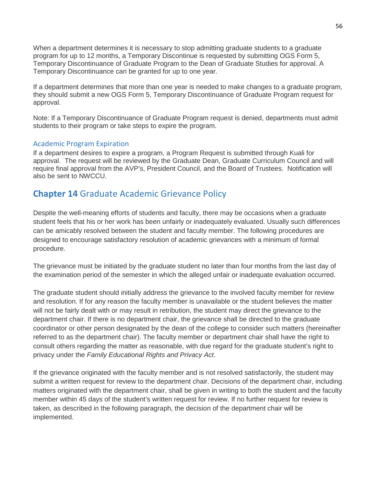When a department determines it is necessary to stop admitting graduate students to a graduate program for up to 12 months, a Temporary Discontinue is requested by submitting OGS Form 5, Temporary Discontinuance of Graduate Program to the Dean of Graduate Studies for approval. A Temporary Discontinuance can be granted for up to one year.

If a department determines that more than one year is needed to make changes to a graduate program, they should submit a new OGS Form 5, Temporary Discontinuance of Graduate Program request for approval.

Note: If a Temporary Discontinuance of Graduate Program request is denied, departments must admit students to their program or take steps to expire the program.

# <span id="page-56-0"></span>Academic Program Expiration

If a department desires to expire a program, a Program Request is submitted through Kuali for approval. The request will be reviewed by the Graduate Dean, Graduate Curriculum Council and will require final approval from the AVP's, President Council, and the Board of Trustees. Notification will also be sent to NWCCU.

# <span id="page-56-1"></span>**Chapter 14** Graduate Academic Grievance Policy

Despite the well-meaning efforts of students and faculty, there may be occasions when a graduate student feels that his or her work has been unfairly or inadequately evaluated. Usually such differences can be amicably resolved between the student and faculty member. The following procedures are designed to encourage satisfactory resolution of academic grievances with a minimum of formal procedure.

The grievance must be initiated by the graduate student no later than four months from the last day of the examination period of the semester in which the alleged unfair or inadequate evaluation occurred.

The graduate student should initially address the grievance to the involved faculty member for review and resolution. If for any reason the faculty member is unavailable or the student believes the matter will not be fairly dealt with or may result in retribution, the student may direct the grievance to the department chair. If there is no department chair, the grievance shall be directed to the graduate coordinator or other person designated by the dean of the college to consider such matters (hereinafter referred to as the department chair). The faculty member or department chair shall have the right to consult others regarding the matter as reasonable, with due regard for the graduate student's right to privacy under the *Family Educational Rights and Privacy Act*.

If the grievance originated with the faculty member and is not resolved satisfactorily, the student may submit a written request for review to the department chair. Decisions of the department chair, including matters originated with the department chair, shall be given in writing to both the student and the faculty member within 45 days of the student's written request for review. If no further request for review is taken, as described in the following paragraph, the decision of the department chair will be implemented.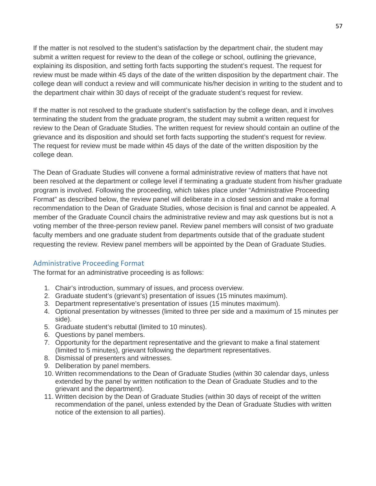If the matter is not resolved to the student's satisfaction by the department chair, the student may submit a written request for review to the dean of the college or school, outlining the grievance, explaining its disposition, and setting forth facts supporting the student's request. The request for review must be made within 45 days of the date of the written disposition by the department chair. The college dean will conduct a review and will communicate his/her decision in writing to the student and to the department chair within 30 days of receipt of the graduate student's request for review.

If the matter is not resolved to the graduate student's satisfaction by the college dean, and it involves terminating the student from the graduate program, the student may submit a written request for review to the Dean of Graduate Studies. The written request for review should contain an outline of the grievance and its disposition and should set forth facts supporting the student's request for review. The request for review must be made within 45 days of the date of the written disposition by the college dean.

The Dean of Graduate Studies will convene a formal administrative review of matters that have not been resolved at the department or college level if terminating a graduate student from his/her graduate program is involved. Following the proceeding, which takes place under "Administrative Proceeding Format" as described below, the review panel will deliberate in a closed session and make a formal recommendation to the Dean of Graduate Studies, whose decision is final and cannot be appealed. A member of the Graduate Council chairs the administrative review and may ask questions but is not a voting member of the three-person review panel. Review panel members will consist of two graduate faculty members and one graduate student from departments outside that of the graduate student requesting the review. Review panel members will be appointed by the Dean of Graduate Studies.

# <span id="page-57-0"></span>Administrative Proceeding Format

The format for an administrative proceeding is as follows:

- 1. Chair's introduction, summary of issues, and process overview.
- 2. Graduate student's (grievant's) presentation of issues (15 minutes maximum).
- 3. Department representative's presentation of issues (15 minutes maximum).
- 4. Optional presentation by witnesses (limited to three per side and a maximum of 15 minutes per side).
- 5. Graduate student's rebuttal (limited to 10 minutes).
- 6. Questions by panel members.
- 7. Opportunity for the department representative and the grievant to make a final statement (limited to 5 minutes), grievant following the department representatives.
- 8. Dismissal of presenters and witnesses.
- 9. Deliberation by panel members.
- 10. Written recommendations to the Dean of Graduate Studies (within 30 calendar days, unless extended by the panel by written notification to the Dean of Graduate Studies and to the grievant and the department).
- 11. Written decision by the Dean of Graduate Studies (within 30 days of receipt of the written recommendation of the panel, unless extended by the Dean of Graduate Studies with written notice of the extension to all parties).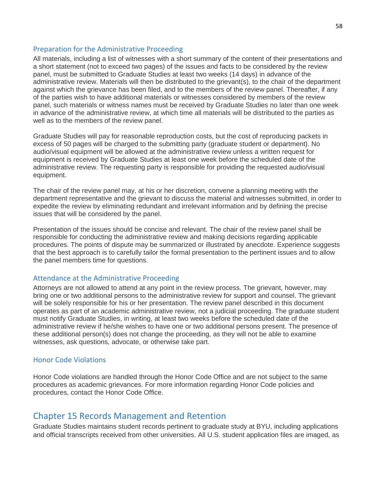#### <span id="page-58-0"></span>Preparation for the Administrative Proceeding

All materials, including a list of witnesses with a short summary of the content of their presentations and a short statement (not to exceed two pages) of the issues and facts to be considered by the review panel, must be submitted to Graduate Studies at least two weeks (14 days) in advance of the administrative review. Materials will then be distributed to the grievant(s), to the chair of the department against which the grievance has been filed, and to the members of the review panel. Thereafter, if any of the parties wish to have additional materials or witnesses considered by members of the review panel, such materials or witness names must be received by Graduate Studies no later than one week in advance of the administrative review, at which time all materials will be distributed to the parties as well as to the members of the review panel.

Graduate Studies will pay for reasonable reproduction costs, but the cost of reproducing packets in excess of 50 pages will be charged to the submitting party (graduate student or department). No audio/visual equipment will be allowed at the administrative review unless a written request for equipment is received by Graduate Studies at least one week before the scheduled date of the administrative review. The requesting party is responsible for providing the requested audio/visual equipment.

The chair of the review panel may, at his or her discretion, convene a planning meeting with the department representative and the grievant to discuss the material and witnesses submitted, in order to expedite the review by eliminating redundant and irrelevant information and by defining the precise issues that will be considered by the panel.

Presentation of the issues should be concise and relevant. The chair of the review panel shall be responsible for conducting the administrative review and making decisions regarding applicable procedures. The points of dispute may be summarized or illustrated by anecdote. Experience suggests that the best approach is to carefully tailor the formal presentation to the pertinent issues and to allow the panel members time for questions.

#### <span id="page-58-1"></span>Attendance at the Administrative Proceeding

Attorneys are not allowed to attend at any point in the review process. The grievant, however, may bring one or two additional persons to the administrative review for support and counsel. The grievant will be solely responsible for his or her presentation. The review panel described in this document operates as part of an academic administrative review, not a judicial proceeding. The graduate student must notify Graduate Studies, in writing, at least two weeks before the scheduled date of the administrative review if he/she wishes to have one or two additional persons present. The presence of these additional person(s) does not change the proceeding, as they will not be able to examine witnesses, ask questions, advocate, or otherwise take part.

#### <span id="page-58-2"></span>Honor Code Violations

Honor Code violations are handled through the Honor Code Office and are not subject to the same procedures as academic grievances. For more information regarding Honor Code policies and procedures, contact the Honor Code Office.

# <span id="page-58-3"></span>Chapter 15 Records Management and Retention

Graduate Studies maintains student records pertinent to graduate study at BYU, including applications and official transcripts received from other universities. All U.S. student application files are imaged, as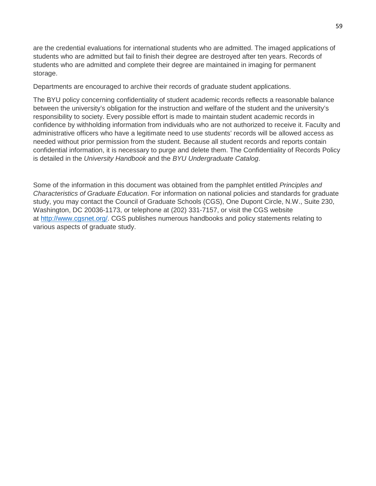are the credential evaluations for international students who are admitted. The imaged applications of students who are admitted but fail to finish their degree are destroyed after ten years. Records of students who are admitted and complete their degree are maintained in imaging for permanent storage.

Departments are encouraged to archive their records of graduate student applications.

The BYU policy concerning confidentiality of student academic records reflects a reasonable balance between the university's obligation for the instruction and welfare of the student and the university's responsibility to society. Every possible effort is made to maintain student academic records in confidence by withholding information from individuals who are not authorized to receive it. Faculty and administrative officers who have a legitimate need to use students' records will be allowed access as needed without prior permission from the student. Because all student records and reports contain confidential information, it is necessary to purge and delete them. The Confidentiality of Records Policy is detailed in the *University Handbook* and the *BYU Undergraduate Catalog*.

Some of the information in this document was obtained from the pamphlet entitled *Principles and Characteristics of Graduate Education*. For information on national policies and standards for graduate study, you may contact the Council of Graduate Schools (CGS), One Dupont Circle, N.W., Suite 230, Washington, DC 20036-1173, or telephone at (202) 331-7157, or visit the CGS website at [http://www.cgsnet.org/.](http://www.cgsnet.org/) CGS publishes numerous handbooks and policy statements relating to various aspects of graduate study.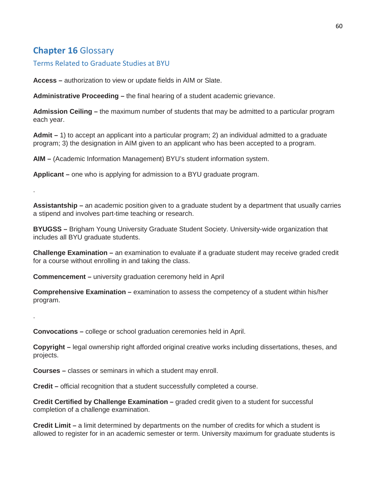# <span id="page-60-0"></span>**Chapter 16** Glossary

.

.

<span id="page-60-1"></span>Terms Related to Graduate Studies at BYU

**Access –** authorization to view or update fields in AIM or Slate.

**Administrative Proceeding –** the final hearing of a student academic grievance.

**Admission Ceiling –** the maximum number of students that may be admitted to a particular program each year.

**Admit –** 1) to accept an applicant into a particular program; 2) an individual admitted to a graduate program; 3) the designation in AIM given to an applicant who has been accepted to a program.

**AIM –** (Academic Information Management) BYU's student information system.

**Applicant –** one who is applying for admission to a BYU graduate program.

**Assistantship –** an academic position given to a graduate student by a department that usually carries a stipend and involves part-time teaching or research.

**BYUGSS –** Brigham Young University Graduate Student Society. University-wide organization that includes all BYU graduate students.

**Challenge Examination –** an examination to evaluate if a graduate student may receive graded credit for a course without enrolling in and taking the class.

**Commencement –** university graduation ceremony held in April

**Comprehensive Examination –** examination to assess the competency of a student within his/her program.

**Convocations –** college or school graduation ceremonies held in April.

**Copyright –** legal ownership right afforded original creative works including dissertations, theses, and projects.

**Courses –** classes or seminars in which a student may enroll.

**Credit –** official recognition that a student successfully completed a course.

**Credit Certified by Challenge Examination –** graded credit given to a student for successful completion of a challenge examination.

**Credit Limit –** a limit determined by departments on the number of credits for which a student is allowed to register for in an academic semester or term. University maximum for graduate students is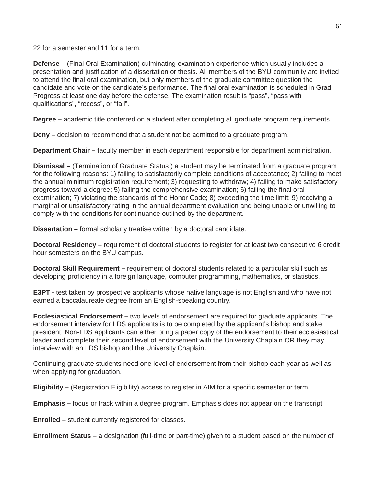22 for a semester and 11 for a term.

**Defense –** (Final Oral Examination) culminating examination experience which usually includes a presentation and justification of a dissertation or thesis. All members of the BYU community are invited to attend the final oral examination, but only members of the graduate committee question the candidate and vote on the candidate's performance. The final oral examination is scheduled in Grad Progress at least one day before the defense. The examination result is "pass", "pass with qualifications", "recess", or "fail".

**Degree –** academic title conferred on a student after completing all graduate program requirements.

**Deny –** decision to recommend that a student not be admitted to a graduate program.

**Department Chair –** faculty member in each department responsible for department administration.

**Dismissal –** (Termination of Graduate Status ) a student may be terminated from a graduate program for the following reasons: 1) failing to satisfactorily complete conditions of acceptance; 2) failing to meet the annual minimum registration requirement; 3) requesting to withdraw; 4) failing to make satisfactory progress toward a degree; 5) failing the comprehensive examination; 6) failing the final oral examination; 7) violating the standards of the Honor Code; 8) exceeding the time limit; 9) receiving a marginal or unsatisfactory rating in the annual department evaluation and being unable or unwilling to comply with the conditions for continuance outlined by the department.

**Dissertation –** formal scholarly treatise written by a doctoral candidate.

**Doctoral Residency –** requirement of doctoral students to register for at least two consecutive 6 credit hour semesters on the BYU campus.

**Doctoral Skill Requirement –** requirement of doctoral students related to a particular skill such as developing proficiency in a foreign language, computer programming, mathematics, or statistics.

**E3PT -** test taken by prospective applicants whose native language is not English and who have not earned a baccalaureate degree from an English-speaking country.

**Ecclesiastical Endorsement –** two levels of endorsement are required for graduate applicants. The endorsement interview for LDS applicants is to be completed by the applicant's bishop and stake president. Non-LDS applicants can either bring a paper copy of the endorsement to their ecclesiastical leader and complete their second level of endorsement with the University Chaplain OR they may interview with an LDS bishop and the University Chaplain.

Continuing graduate students need one level of endorsement from their bishop each year as well as when applying for graduation.

**Eligibility –** (Registration Eligibility) access to register in AIM for a specific semester or term.

**Emphasis –** focus or track within a degree program. Emphasis does not appear on the transcript.

**Enrolled –** student currently registered for classes.

**Enrollment Status –** a designation (full-time or part-time) given to a student based on the number of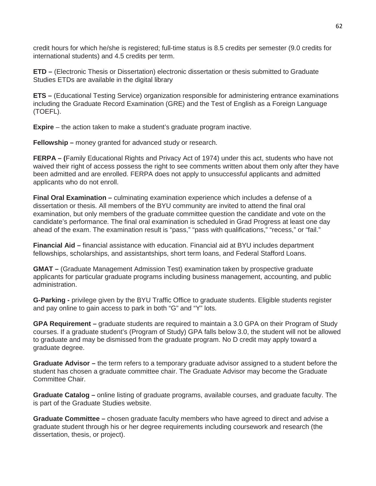credit hours for which he/she is registered; full-time status is 8.5 credits per semester (9.0 credits for international students) and 4.5 credits per term.

**ETD –** (Electronic Thesis or Dissertation) electronic dissertation or thesis submitted to Graduate Studies ETDs are available in the digital library

**ETS –** (Educational Testing Service) organization responsible for administering entrance examinations including the Graduate Record Examination (GRE) and the Test of English as a Foreign Language (TOEFL).

**Expire** – the action taken to make a student's graduate program inactive.

**Fellowship –** money granted for advanced study or research.

**FERPA – (**Family Educational Rights and Privacy Act of 1974) under this act, students who have not waived their right of access possess the right to see comments written about them only after they have been admitted and are enrolled. FERPA does not apply to unsuccessful applicants and admitted applicants who do not enroll.

**Final Oral Examination –** culminating examination experience which includes a defense of a dissertation or thesis. All members of the BYU community are invited to attend the final oral examination, but only members of the graduate committee question the candidate and vote on the candidate's performance. The final oral examination is scheduled in Grad Progress at least one day ahead of the exam. The examination result is "pass," "pass with qualifications," "recess," or "fail."

**Financial Aid –** financial assistance with education. Financial aid at BYU includes department fellowships, scholarships, and assistantships, short term loans, and Federal Stafford Loans.

**GMAT –** (Graduate Management Admission Test) examination taken by prospective graduate applicants for particular graduate programs including business management, accounting, and public administration.

**G-Parking -** privilege given by the BYU Traffic Office to graduate students. Eligible students register and pay online to gain access to park in both "G" and "Y" lots.

**GPA Requirement –** graduate students are required to maintain a 3.0 GPA on their Program of Study courses. If a graduate student's (Program of Study) GPA falls below 3.0, the student will not be allowed to graduate and may be dismissed from the graduate program. No D credit may apply toward a graduate degree.

**Graduate Advisor –** the term refers to a temporary graduate advisor assigned to a student before the student has chosen a graduate committee chair. The Graduate Advisor may become the Graduate Committee Chair.

**Graduate Catalog –** online listing of graduate programs, available courses, and graduate faculty. The is part of the Graduate Studies website.

**Graduate Committee –** chosen graduate faculty members who have agreed to direct and advise a graduate student through his or her degree requirements including coursework and research (the dissertation, thesis, or project).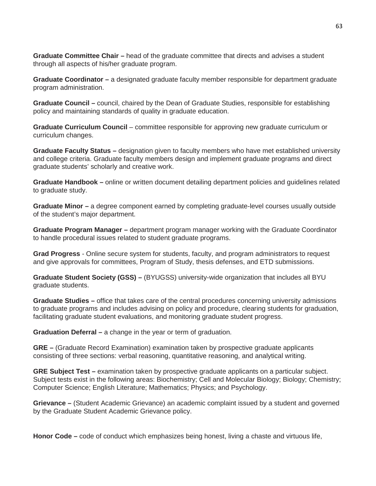**Graduate Committee Chair –** head of the graduate committee that directs and advises a student through all aspects of his/her graduate program.

**Graduate Coordinator –** a designated graduate faculty member responsible for department graduate program administration.

**Graduate Council –** council, chaired by the Dean of Graduate Studies, responsible for establishing policy and maintaining standards of quality in graduate education.

**Graduate Curriculum Council** – committee responsible for approving new graduate curriculum or curriculum changes.

**Graduate Faculty Status –** designation given to faculty members who have met established university and college criteria. Graduate faculty members design and implement graduate programs and direct graduate students' scholarly and creative work.

**Graduate Handbook –** online or written document detailing department policies and guidelines related to graduate study.

**Graduate Minor –** a degree component earned by completing graduate-level courses usually outside of the student's major department.

**Graduate Program Manager –** department program manager working with the Graduate Coordinator to handle procedural issues related to student graduate programs.

**Grad Progress** - Online secure system for students, faculty, and program administrators to request and give approvals for committees, Program of Study, thesis defenses, and ETD submissions.

**Graduate Student Society (GSS) –** (BYUGSS) university-wide organization that includes all BYU graduate students.

**Graduate Studies –** office that takes care of the central procedures concerning university admissions to graduate programs and includes advising on policy and procedure, clearing students for graduation, facilitating graduate student evaluations, and monitoring graduate student progress.

**Graduation Deferral –** a change in the year or term of graduation.

**GRE –** (Graduate Record Examination) examination taken by prospective graduate applicants consisting of three sections: verbal reasoning, quantitative reasoning, and analytical writing.

**GRE Subject Test –** examination taken by prospective graduate applicants on a particular subject. Subject tests exist in the following areas: Biochemistry; Cell and Molecular Biology; Biology; Chemistry; Computer Science; English Literature; Mathematics; Physics; and Psychology.

**Grievance –** (Student Academic Grievance) an academic complaint issued by a student and governed by the Graduate Student Academic Grievance policy.

**Honor Code –** code of conduct which emphasizes being honest, living a chaste and virtuous life,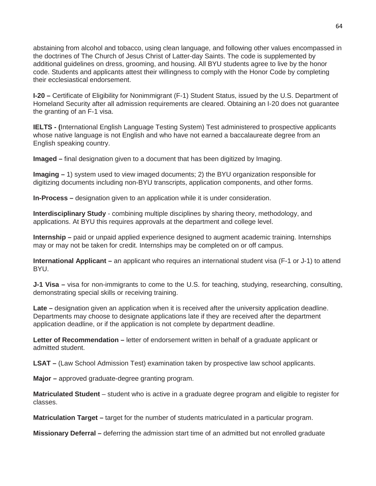abstaining from alcohol and tobacco, using clean language, and following other values encompassed in the doctrines of The Church of Jesus Christ of Latter-day Saints. The code is supplemented by additional guidelines on dress, grooming, and housing. All BYU students agree to live by the honor code. Students and applicants attest their willingness to comply with the Honor Code by completing their ecclesiastical endorsement.

**I-20 –** Certificate of Eligibility for Nonimmigrant (F-1) Student Status, issued by the U.S. Department of Homeland Security after all admission requirements are cleared. Obtaining an I-20 does not guarantee the granting of an F-1 visa.

**IELTS - (**International English Language Testing System) Test administered to prospective applicants whose native language is not English and who have not earned a baccalaureate degree from an English speaking country.

**Imaged –** final designation given to a document that has been digitized by Imaging.

**Imaging –** 1) system used to view imaged documents; 2) the BYU organization responsible for digitizing documents including non-BYU transcripts, application components, and other forms.

**In-Process –** designation given to an application while it is under consideration.

**Interdisciplinary Study** - combining multiple disciplines by sharing theory, methodology, and applications. At BYU this requires approvals at the department and college level.

**Internship –** paid or unpaid applied experience designed to augment academic training. Internships may or may not be taken for credit. Internships may be completed on or off campus.

**International Applicant –** an applicant who requires an international student visa (F-1 or J-1) to attend BYU.

**J-1 Visa –** visa for non-immigrants to come to the U.S. for teaching, studying, researching, consulting, demonstrating special skills or receiving training.

**Late –** designation given an application when it is received after the university application deadline. Departments may choose to designate applications late if they are received after the department application deadline, or if the application is not complete by department deadline.

**Letter of Recommendation –** letter of endorsement written in behalf of a graduate applicant or admitted student.

**LSAT –** (Law School Admission Test) examination taken by prospective law school applicants.

**Major –** approved graduate-degree granting program.

**Matriculated Student** – student who is active in a graduate degree program and eligible to register for classes.

**Matriculation Target –** target for the number of students matriculated in a particular program.

**Missionary Deferral –** deferring the admission start time of an admitted but not enrolled graduate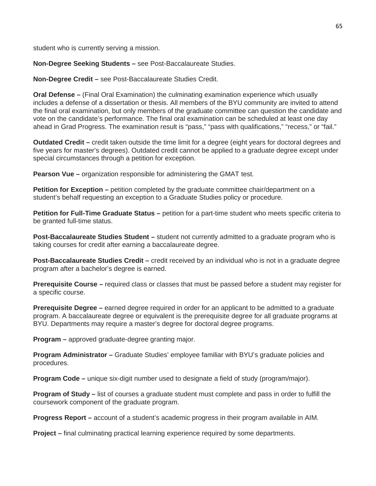student who is currently serving a mission.

**Non-Degree Seeking Students –** see Post-Baccalaureate Studies.

**Non-Degree Credit –** see Post-Baccalaureate Studies Credit.

**Oral Defense –** (Final Oral Examination) the culminating examination experience which usually includes a defense of a dissertation or thesis. All members of the BYU community are invited to attend the final oral examination, but only members of the graduate committee can question the candidate and vote on the candidate's performance. The final oral examination can be scheduled at least one day ahead in Grad Progress. The examination result is "pass," "pass with qualifications," "recess," or "fail."

**Outdated Credit –** credit taken outside the time limit for a degree (eight years for doctoral degrees and five years for master's degrees). Outdated credit cannot be applied to a graduate degree except under special circumstances through a petition for exception.

**Pearson Vue –** organization responsible for administering the GMAT test.

**Petition for Exception** – petition completed by the graduate committee chair/department on a student's behalf requesting an exception to a Graduate Studies policy or procedure.

**Petition for Full-Time Graduate Status –** petition for a part-time student who meets specific criteria to be granted full-time status.

**Post-Baccalaureate Studies Student –** student not currently admitted to a graduate program who is taking courses for credit after earning a baccalaureate degree.

**Post-Baccalaureate Studies Credit –** credit received by an individual who is not in a graduate degree program after a bachelor's degree is earned.

**Prerequisite Course –** required class or classes that must be passed before a student may register for a specific course.

**Prerequisite Degree –** earned degree required in order for an applicant to be admitted to a graduate program. A baccalaureate degree or equivalent is the prerequisite degree for all graduate programs at BYU. Departments may require a master's degree for doctoral degree programs.

**Program –** approved graduate-degree granting major.

**Program Administrator –** Graduate Studies' employee familiar with BYU's graduate policies and procedures.

**Program Code –** unique six-digit number used to designate a field of study (program/major).

**Program of Study –** list of courses a graduate student must complete and pass in order to fulfill the coursework component of the graduate program.

**Progress Report –** account of a student's academic progress in their program available in AIM.

**Project –** final culminating practical learning experience required by some departments.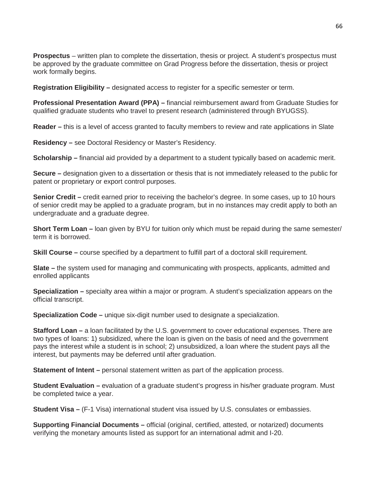**Prospectus** – written plan to complete the dissertation, thesis or project. A student's prospectus must be approved by the graduate committee on Grad Progress before the dissertation, thesis or project work formally begins.

**Registration Eligibility –** designated access to register for a specific semester or term.

**Professional Presentation Award (PPA) –** financial reimbursement award from Graduate Studies for qualified graduate students who travel to present research (administered through BYUGSS).

**Reader –** this is a level of access granted to faculty members to review and rate applications in Slate

**Residency –** see Doctoral Residency or Master's Residency.

**Scholarship –** financial aid provided by a department to a student typically based on academic merit.

**Secure –** designation given to a dissertation or thesis that is not immediately released to the public for patent or proprietary or export control purposes.

**Senior Credit** – credit earned prior to receiving the bachelor's degree. In some cases, up to 10 hours of senior credit may be applied to a graduate program, but in no instances may credit apply to both an undergraduate and a graduate degree.

**Short Term Loan –** loan given by BYU for tuition only which must be repaid during the same semester/ term it is borrowed.

**Skill Course –** course specified by a department to fulfill part of a doctoral skill requirement.

**Slate –** the system used for managing and communicating with prospects, applicants, admitted and enrolled applicants

**Specialization –** specialty area within a major or program. A student's specialization appears on the official transcript.

**Specialization Code –** unique six-digit number used to designate a specialization.

**Stafford Loan –** a loan facilitated by the U.S. government to cover educational expenses. There are two types of loans: 1) subsidized, where the loan is given on the basis of need and the government pays the interest while a student is in school; 2) unsubsidized, a loan where the student pays all the interest, but payments may be deferred until after graduation.

**Statement of Intent** – personal statement written as part of the application process.

**Student Evaluation –** evaluation of a graduate student's progress in his/her graduate program. Must be completed twice a year.

**Student Visa –** (F-1 Visa) international student visa issued by U.S. consulates or embassies.

**Supporting Financial Documents –** official (original, certified, attested, or notarized) documents verifying the monetary amounts listed as support for an international admit and I-20.